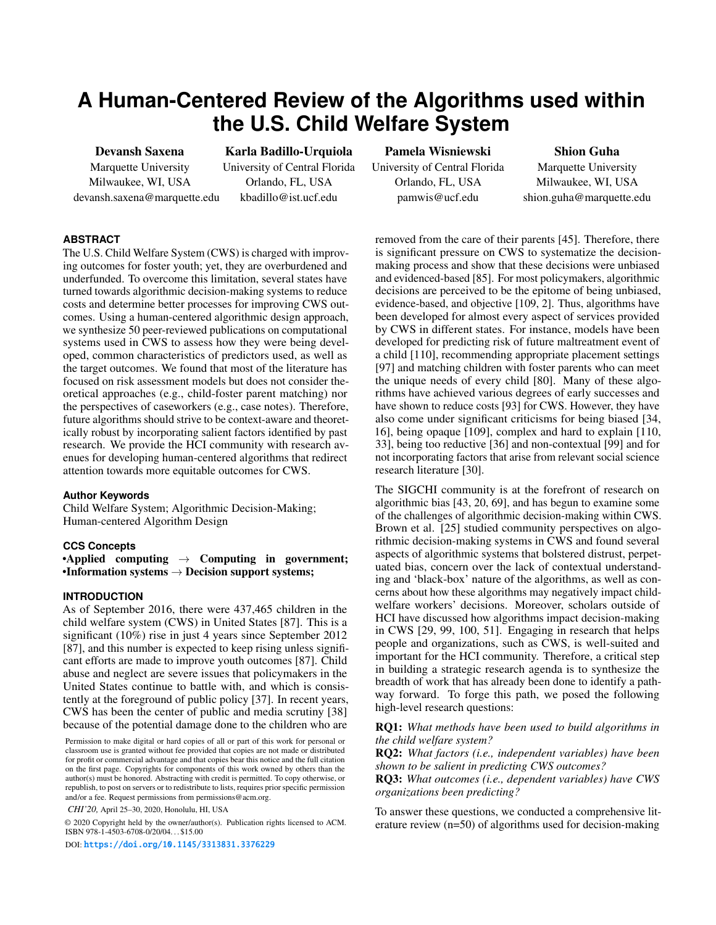# **A Human-Centered Review of the Algorithms used within the U.S. Child Welfare System**

Devansh Saxena Marquette University Milwaukee, WI, USA devansh.saxena@marquette.edu

Karla Badillo-Urquiola University of Central Florida Orlando, FL, USA kbadillo@ist.ucf.edu

Pamela Wisniewski University of Central Florida Orlando, FL, USA pamwis@ucf.edu

Shion Guha Marquette University Milwaukee, WI, USA shion.guha@marquette.edu

# **ABSTRACT**

The U.S. Child Welfare System (CWS) is charged with improving outcomes for foster youth; yet, they are overburdened and underfunded. To overcome this limitation, several states have turned towards algorithmic decision-making systems to reduce costs and determine better processes for improving CWS outcomes. Using a human-centered algorithmic design approach, we synthesize 50 peer-reviewed publications on computational systems used in CWS to assess how they were being developed, common characteristics of predictors used, as well as the target outcomes. We found that most of the literature has focused on risk assessment models but does not consider theoretical approaches (e.g., child-foster parent matching) nor the perspectives of caseworkers (e.g., case notes). Therefore, future algorithms should strive to be context-aware and theoretically robust by incorporating salient factors identified by past research. We provide the HCI community with research avenues for developing human-centered algorithms that redirect attention towards more equitable outcomes for CWS.

### **Author Keywords**

Child Welfare System; Algorithmic Decision-Making; Human-centered Algorithm Design

## **CCS Concepts**

•Applied computing  $\rightarrow$  Computing in government;  $\bullet$ Information systems  $\rightarrow$  Decision support systems;

# **INTRODUCTION**

As of September 2016, there were 437,465 children in the child welfare system (CWS) in United States [\[87\]](#page-13-0). This is a significant (10%) rise in just 4 years since September 2012 [\[87\]](#page-13-0), and this number is expected to keep rising unless significant efforts are made to improve youth outcomes [\[87\]](#page-13-0). Child abuse and neglect are severe issues that policymakers in the United States continue to battle with, and which is consistently at the foreground of public policy [\[37\]](#page-11-0). In recent years, CWS has been the center of public and media scrutiny [\[38\]](#page-11-1) because of the potential damage done to the children who are

*CHI'20,* April 25–30, 2020, Honolulu, HI, USA

© 2020 Copyright held by the owner/author(s). Publication rights licensed to ACM. ISBN 978-1-4503-6708-0/20/04. . . \$15.00

DOI: <https://doi.org/10.1145/3313831.3376229>

removed from the care of their parents [\[45\]](#page-11-2). Therefore, there is significant pressure on CWS to systematize the decisionmaking process and show that these decisions were unbiased and evidenced-based [\[85\]](#page-13-1). For most policymakers, algorithmic decisions are perceived to be the epitome of being unbiased, evidence-based, and objective [\[109,](#page-14-0) [2\]](#page-10-0). Thus, algorithms have been developed for almost every aspect of services provided by CWS in different states. For instance, models have been developed for predicting risk of future maltreatment event of a child [\[110\]](#page-14-1), recommending appropriate placement settings [\[97\]](#page-14-2) and matching children with foster parents who can meet the unique needs of every child [\[80\]](#page-13-2). Many of these algorithms have achieved various degrees of early successes and have shown to reduce costs [\[93\]](#page-13-3) for CWS. However, they have also come under significant criticisms for being biased [\[34,](#page-11-3) [16\]](#page-10-1), being opaque [\[109\]](#page-14-0), complex and hard to explain [\[110,](#page-14-1) [33\]](#page-11-4), being too reductive [\[36\]](#page-11-5) and non-contextual [\[99\]](#page-14-3) and for not incorporating factors that arise from relevant social science research literature [\[30\]](#page-11-6).

The SIGCHI community is at the forefront of research on algorithmic bias [\[43,](#page-11-7) [20,](#page-10-2) [69\]](#page-12-0), and has begun to examine some of the challenges of algorithmic decision-making within CWS. Brown et al. [\[25\]](#page-11-8) studied community perspectives on algorithmic decision-making systems in CWS and found several aspects of algorithmic systems that bolstered distrust, perpetuated bias, concern over the lack of contextual understanding and 'black-box' nature of the algorithms, as well as concerns about how these algorithms may negatively impact childwelfare workers' decisions. Moreover, scholars outside of HCI have discussed how algorithms impact decision-making in CWS [\[29,](#page-11-9) [99,](#page-14-3) [100,](#page-14-4) [51\]](#page-12-1). Engaging in research that helps people and organizations, such as CWS, is well-suited and important for the HCI community. Therefore, a critical step in building a strategic research agenda is to synthesize the breadth of work that has already been done to identify a pathway forward. To forge this path, we posed the following high-level research questions:

RQ1: *What methods have been used to build algorithms in the child welfare system?*

RQ2: *What factors (i.e., independent variables) have been shown to be salient in predicting CWS outcomes?*

RQ3: *What outcomes (i.e., dependent variables) have CWS organizations been predicting?*

To answer these questions, we conducted a comprehensive literature review (n=50) of algorithms used for decision-making

Permission to make digital or hard copies of all or part of this work for personal or classroom use is granted without fee provided that copies are not made or distributed for profit or commercial advantage and that copies bear this notice and the full citation on the first page. Copyrights for components of this work owned by others than the author(s) must be honored. Abstracting with credit is permitted. To copy otherwise, or republish, to post on servers or to redistribute to lists, requires prior specific permission and/or a fee. Request permissions from permissions@acm.org.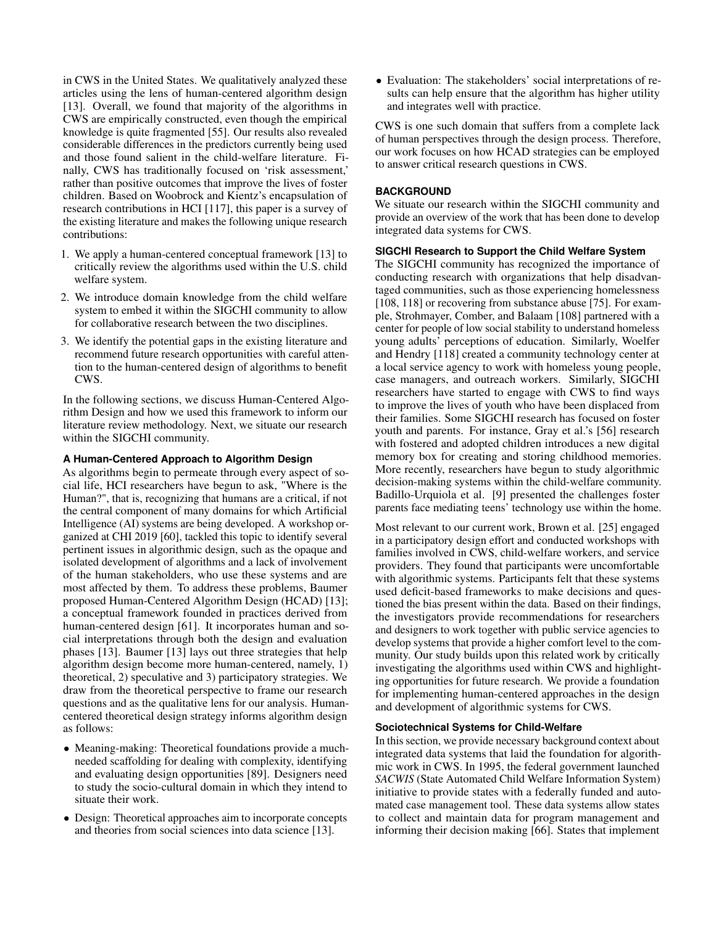in CWS in the United States. We qualitatively analyzed these articles using the lens of human-centered algorithm design [\[13\]](#page-10-3). Overall, we found that majority of the algorithms in CWS are empirically constructed, even though the empirical knowledge is quite fragmented [\[55\]](#page-12-2). Our results also revealed considerable differences in the predictors currently being used and those found salient in the child-welfare literature. Finally, CWS has traditionally focused on 'risk assessment,' rather than positive outcomes that improve the lives of foster children. Based on Woobrock and Kientz's encapsulation of research contributions in HCI [\[117\]](#page-14-5), this paper is a survey of the existing literature and makes the following unique research contributions:

- 1. We apply a human-centered conceptual framework [\[13\]](#page-10-3) to critically review the algorithms used within the U.S. child welfare system.
- 2. We introduce domain knowledge from the child welfare system to embed it within the SIGCHI community to allow for collaborative research between the two disciplines.
- 3. We identify the potential gaps in the existing literature and recommend future research opportunities with careful attention to the human-centered design of algorithms to benefit CWS.

In the following sections, we discuss Human-Centered Algorithm Design and how we used this framework to inform our literature review methodology. Next, we situate our research within the SIGCHI community.

# **A Human-Centered Approach to Algorithm Design**

As algorithms begin to permeate through every aspect of social life, HCI researchers have begun to ask, "Where is the Human?", that is, recognizing that humans are a critical, if not the central component of many domains for which Artificial Intelligence (AI) systems are being developed. A workshop organized at CHI 2019 [\[60\]](#page-12-3), tackled this topic to identify several pertinent issues in algorithmic design, such as the opaque and isolated development of algorithms and a lack of involvement of the human stakeholders, who use these systems and are most affected by them. To address these problems, Baumer proposed Human-Centered Algorithm Design (HCAD) [\[13\]](#page-10-3); a conceptual framework founded in practices derived from human-centered design [\[61\]](#page-12-4). It incorporates human and social interpretations through both the design and evaluation phases [\[13\]](#page-10-3). Baumer [\[13\]](#page-10-3) lays out three strategies that help algorithm design become more human-centered, namely, 1) theoretical, 2) speculative and 3) participatory strategies. We draw from the theoretical perspective to frame our research questions and as the qualitative lens for our analysis. Humancentered theoretical design strategy informs algorithm design as follows:

- Meaning-making: Theoretical foundations provide a muchneeded scaffolding for dealing with complexity, identifying and evaluating design opportunities [\[89\]](#page-13-4). Designers need to study the socio-cultural domain in which they intend to situate their work.
- Design: Theoretical approaches aim to incorporate concepts and theories from social sciences into data science [\[13\]](#page-10-3).

• Evaluation: The stakeholders' social interpretations of results can help ensure that the algorithm has higher utility and integrates well with practice.

CWS is one such domain that suffers from a complete lack of human perspectives through the design process. Therefore, our work focuses on how HCAD strategies can be employed to answer critical research questions in CWS.

## **BACKGROUND**

We situate our research within the SIGCHI community and provide an overview of the work that has been done to develop integrated data systems for CWS.

# **SIGCHI Research to Support the Child Welfare System**

The SIGCHI community has recognized the importance of conducting research with organizations that help disadvantaged communities, such as those experiencing homelessness [\[108,](#page-14-6) [118\]](#page-14-7) or recovering from substance abuse [\[75\]](#page-13-5). For example, Strohmayer, Comber, and Balaam [\[108\]](#page-14-6) partnered with a center for people of low social stability to understand homeless young adults' perceptions of education. Similarly, Woelfer and Hendry [\[118\]](#page-14-7) created a community technology center at a local service agency to work with homeless young people, case managers, and outreach workers. Similarly, SIGCHI researchers have started to engage with CWS to find ways to improve the lives of youth who have been displaced from their families. Some SIGCHI research has focused on foster youth and parents. For instance, Gray et al.'s [\[56\]](#page-12-5) research with fostered and adopted children introduces a new digital memory box for creating and storing childhood memories. More recently, researchers have begun to study algorithmic decision-making systems within the child-welfare community. Badillo-Urquiola et al. [\[9\]](#page-10-4) presented the challenges foster parents face mediating teens' technology use within the home.

Most relevant to our current work, Brown et al. [\[25\]](#page-11-8) engaged in a participatory design effort and conducted workshops with families involved in CWS, child-welfare workers, and service providers. They found that participants were uncomfortable with algorithmic systems. Participants felt that these systems used deficit-based frameworks to make decisions and questioned the bias present within the data. Based on their findings, the investigators provide recommendations for researchers and designers to work together with public service agencies to develop systems that provide a higher comfort level to the community. Our study builds upon this related work by critically investigating the algorithms used within CWS and highlighting opportunities for future research. We provide a foundation for implementing human-centered approaches in the design and development of algorithmic systems for CWS.

### **Sociotechnical Systems for Child-Welfare**

In this section, we provide necessary background context about integrated data systems that laid the foundation for algorithmic work in CWS. In 1995, the federal government launched *SACWIS* (State Automated Child Welfare Information System) initiative to provide states with a federally funded and automated case management tool. These data systems allow states to collect and maintain data for program management and informing their decision making [\[66\]](#page-12-6). States that implement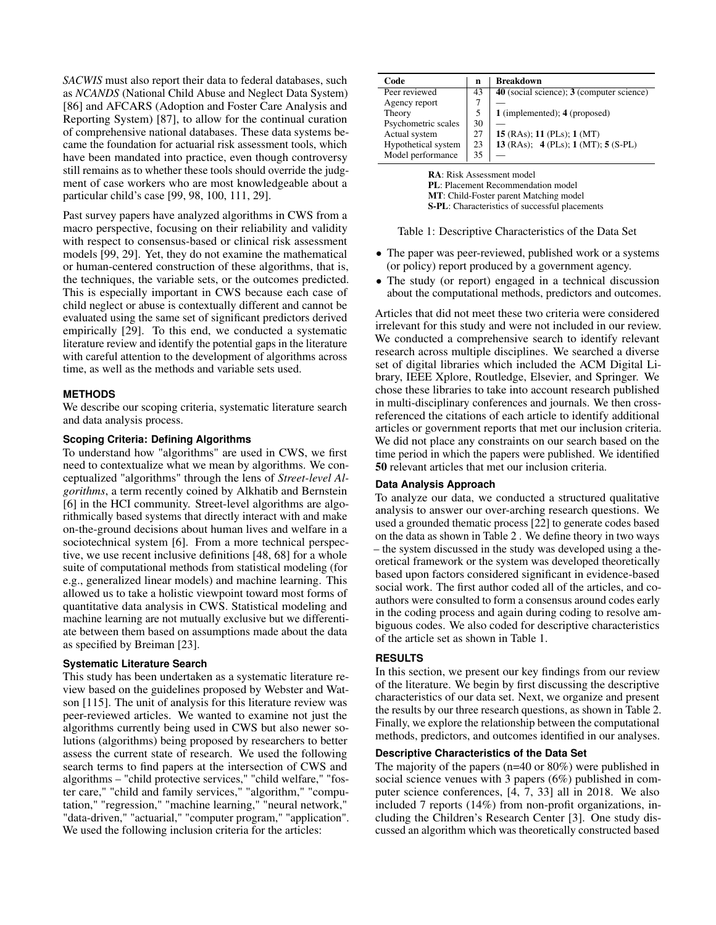*SACWIS* must also report their data to federal databases, such as *NCANDS* (National Child Abuse and Neglect Data System) [\[86\]](#page-13-6) and AFCARS (Adoption and Foster Care Analysis and Reporting System) [\[87\]](#page-13-0), to allow for the continual curation of comprehensive national databases. These data systems became the foundation for actuarial risk assessment tools, which have been mandated into practice, even though controversy still remains as to whether these tools should override the judgment of case workers who are most knowledgeable about a particular child's case [\[99,](#page-14-3) [98,](#page-14-8) [100,](#page-14-4) [111,](#page-14-9) [29\]](#page-11-9).

Past survey papers have analyzed algorithms in CWS from a macro perspective, focusing on their reliability and validity with respect to consensus-based or clinical risk assessment models [\[99,](#page-14-3) [29\]](#page-11-9). Yet, they do not examine the mathematical or human-centered construction of these algorithms, that is, the techniques, the variable sets, or the outcomes predicted. This is especially important in CWS because each case of child neglect or abuse is contextually different and cannot be evaluated using the same set of significant predictors derived empirically [\[29\]](#page-11-9). To this end, we conducted a systematic literature review and identify the potential gaps in the literature with careful attention to the development of algorithms across time, as well as the methods and variable sets used.

# **METHODS**

We describe our scoping criteria, systematic literature search and data analysis process.

# **Scoping Criteria: Defining Algorithms**

To understand how "algorithms" are used in CWS, we first need to contextualize what we mean by algorithms. We conceptualized "algorithms" through the lens of *Street-level Algorithms*, a term recently coined by Alkhatib and Bernstein [\[6\]](#page-10-5) in the HCI community. Street-level algorithms are algorithmically based systems that directly interact with and make on-the-ground decisions about human lives and welfare in a sociotechnical system [\[6\]](#page-10-5). From a more technical perspective, we use recent inclusive definitions [\[48,](#page-11-10) [68\]](#page-12-7) for a whole suite of computational methods from statistical modeling (for e.g., generalized linear models) and machine learning. This allowed us to take a holistic viewpoint toward most forms of quantitative data analysis in CWS. Statistical modeling and machine learning are not mutually exclusive but we differentiate between them based on assumptions made about the data as specified by Breiman [\[23\]](#page-10-6).

### **Systematic Literature Search**

This study has been undertaken as a systematic literature review based on the guidelines proposed by Webster and Watson [\[115\]](#page-14-10). The unit of analysis for this literature review was peer-reviewed articles. We wanted to examine not just the algorithms currently being used in CWS but also newer solutions (algorithms) being proposed by researchers to better assess the current state of research. We used the following search terms to find papers at the intersection of CWS and algorithms – "child protective services," "child welfare," "foster care," "child and family services," "algorithm," "computation," "regression," "machine learning," "neural network," "data-driven," "actuarial," "computer program," "application". We used the following inclusion criteria for the articles:

<span id="page-2-0"></span>

| Code                | n  | <b>Breakdown</b>                          |
|---------------------|----|-------------------------------------------|
| Peer reviewed       | 43 | 40 (social science); 3 (computer science) |
| Agency report       |    |                                           |
| Theory              |    | 1 (implemented); 4 (proposed)             |
| Psychometric scales | 30 |                                           |
| Actual system       | 27 | 15 (RAs); 11 (PLs); 1 (MT)                |
| Hypothetical system | 23 | 13 (RAs); $4$ (PLs); 1 (MT); 5 (S-PL)     |
| Model performance   | 35 |                                           |

RA: Risk Assessment model PL: Placement Recommendation model MT: Child-Foster parent Matching model S-PL: Characteristics of successful placements

Table 1: Descriptive Characteristics of the Data Set

- The paper was peer-reviewed, published work or a systems (or policy) report produced by a government agency.
- The study (or report) engaged in a technical discussion about the computational methods, predictors and outcomes.

Articles that did not meet these two criteria were considered irrelevant for this study and were not included in our review. We conducted a comprehensive search to identify relevant research across multiple disciplines. We searched a diverse set of digital libraries which included the ACM Digital Library, IEEE Xplore, Routledge, Elsevier, and Springer. We chose these libraries to take into account research published in multi-disciplinary conferences and journals. We then crossreferenced the citations of each article to identify additional articles or government reports that met our inclusion criteria. We did not place any constraints on our search based on the time period in which the papers were published. We identified 50 relevant articles that met our inclusion criteria.

### **Data Analysis Approach**

To analyze our data, we conducted a structured qualitative analysis to answer our over-arching research questions. We used a grounded thematic process [\[22\]](#page-10-7) to generate codes based on the data as shown in Table [2](#page-3-0) . We define theory in two ways – the system discussed in the study was developed using a theoretical framework or the system was developed theoretically based upon factors considered significant in evidence-based social work. The first author coded all of the articles, and coauthors were consulted to form a consensus around codes early in the coding process and again during coding to resolve ambiguous codes. We also coded for descriptive characteristics of the article set as shown in Table [1.](#page-2-0)

## **RESULTS**

In this section, we present our key findings from our review of the literature. We begin by first discussing the descriptive characteristics of our data set. Next, we organize and present the results by our three research questions, as shown in Table [2.](#page-3-0) Finally, we explore the relationship between the computational methods, predictors, and outcomes identified in our analyses.

# **Descriptive Characteristics of the Data Set**

The majority of the papers (n=40 or 80%) were published in social science venues with 3 papers (6%) published in computer science conferences, [\[4,](#page-10-8) [7,](#page-10-9) [33\]](#page-11-4) all in 2018. We also included 7 reports (14%) from non-profit organizations, including the Children's Research Center [\[3\]](#page-10-10). One study discussed an algorithm which was theoretically constructed based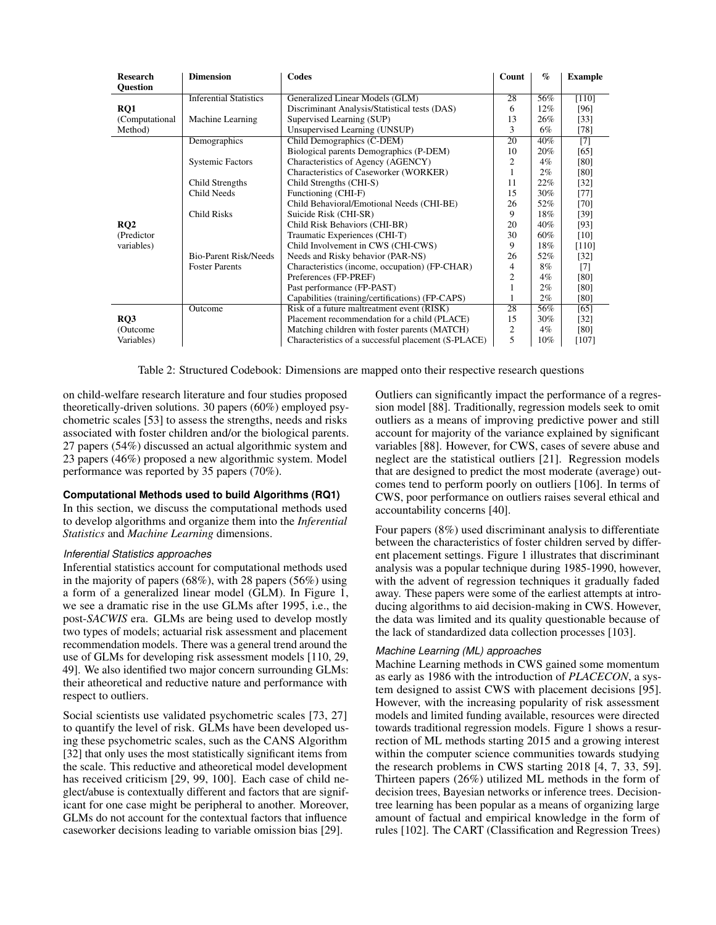<span id="page-3-0"></span>

| <b>Research</b><br><b>Ouestion</b> | <b>Dimension</b>              | Codes                                               | Count          | $\%$   | <b>Example</b> |
|------------------------------------|-------------------------------|-----------------------------------------------------|----------------|--------|----------------|
|                                    | <b>Inferential Statistics</b> | Generalized Linear Models (GLM)                     | 28             | 56%    | $[110]$        |
| RO1                                |                               | Discriminant Analysis/Statistical tests (DAS)       | 6              | 12%    | [96]           |
| (Computational)                    | Machine Learning              | Supervised Learning (SUP)                           | 13             | 26%    | $[33]$         |
| Method)                            |                               | Unsupervised Learning (UNSUP)                       | 3              | 6%     | $[78]$         |
|                                    | Demographics                  | Child Demographics (C-DEM)                          | 20             | 40%    | $[7]$          |
|                                    |                               | Biological parents Demographics (P-DEM)             | 10             | 20%    | [65]           |
|                                    | <b>Systemic Factors</b>       | Characteristics of Agency (AGENCY)                  | $\overline{c}$ | $4\%$  | [80]           |
|                                    |                               | Characteristics of Caseworker (WORKER)              | 1              | $2\%$  | [80]           |
|                                    | Child Strengths               | Child Strengths (CHI-S)                             |                | 22%    | $[32]$         |
|                                    | Child Needs                   | Functioning (CHI-F)                                 |                | 30%    | $[77]$         |
|                                    |                               | Child Behavioral/Emotional Needs (CHI-BE)           | 26             | 52%    | $[70]$         |
|                                    | <b>Child Risks</b>            | Suicide Risk (CHI-SR)                               |                | 18%    | [39]           |
| RQ <sub>2</sub>                    |                               | Child Risk Behaviors (CHI-BR)                       | 20             | 40%    | $[93]$         |
| (Predictor)                        |                               | Traumatic Experiences (CHI-T)                       | 30             | 60%    | [10]           |
| variables)                         |                               | Child Involvement in CWS (CHI-CWS)                  | 9              | 18%    | $[110]$        |
|                                    | <b>Bio-Parent Risk/Needs</b>  | Needs and Risky behavior (PAR-NS)                   | 26             | 52%    | $[32]$         |
|                                    | <b>Foster Parents</b>         | Characteristics (income, occupation) (FP-CHAR)      |                | 8%     | $[7]$          |
|                                    |                               | Preferences (FP-PREF)                               | $\overline{c}$ | $4\%$  | [80]           |
|                                    |                               | Past performance (FP-PAST)                          | 1              | 2%     | [80]           |
|                                    |                               | Capabilities (training/certifications) (FP-CAPS)    | 1              | 2%     | [80]           |
|                                    | Outcome                       | Risk of a future maltreatment event (RISK)          | 28             | 56%    | [65]           |
| RO3                                |                               | Placement recommendation for a child (PLACE)        | 15             | 30%    | $[32]$         |
| (Outcome)                          |                               | Matching children with foster parents (MATCH)       | 2              | $4\%$  | [80]           |
| Variables)                         |                               | Characteristics of a successful placement (S-PLACE) | 5              | $10\%$ | [107]          |

Table 2: Structured Codebook: Dimensions are mapped onto their respective research questions

on child-welfare research literature and four studies proposed theoretically-driven solutions. 30 papers (60%) employed psychometric scales [\[53\]](#page-12-10) to assess the strengths, needs and risks associated with foster children and/or the biological parents. 27 papers (54%) discussed an actual algorithmic system and 23 papers (46%) proposed a new algorithmic system. Model performance was reported by 35 papers (70%).

# **Computational Methods used to build Algorithms (RQ1)**

In this section, we discuss the computational methods used to develop algorithms and organize them into the *Inferential Statistics* and *Machine Learning* dimensions.

### *Inferential Statistics approaches*

Inferential statistics account for computational methods used in the majority of papers  $(68\%)$ , with 28 papers  $(56\%)$  using a form of a generalized linear model (GLM). In Figure [1,](#page-4-0) we see a dramatic rise in the use GLMs after 1995, i.e., the post-*SACWIS* era. GLMs are being used to develop mostly two types of models; actuarial risk assessment and placement recommendation models. There was a general trend around the use of GLMs for developing risk assessment models [\[110,](#page-14-1) [29,](#page-11-9) [49\]](#page-11-13). We also identified two major concern surrounding GLMs: their atheoretical and reductive nature and performance with respect to outliers.

Social scientists use validated psychometric scales [\[73,](#page-13-10) [27\]](#page-11-14) to quantify the level of risk. GLMs have been developed using these psychometric scales, such as the CANS Algorithm [\[32\]](#page-11-11) that only uses the most statistically significant items from the scale. This reductive and atheoretical model development has received criticism [\[29,](#page-11-9) [99,](#page-14-3) [100\]](#page-14-4). Each case of child neglect/abuse is contextually different and factors that are significant for one case might be peripheral to another. Moreover, GLMs do not account for the contextual factors that influence caseworker decisions leading to variable omission bias [\[29\]](#page-11-9).

Outliers can significantly impact the performance of a regression model [\[88\]](#page-13-11). Traditionally, regression models seek to omit outliers as a means of improving predictive power and still account for majority of the variance explained by significant variables [\[88\]](#page-13-11). However, for CWS, cases of severe abuse and neglect are the statistical outliers [\[21\]](#page-10-12). Regression models that are designed to predict the most moderate (average) outcomes tend to perform poorly on outliers [\[106\]](#page-14-12). In terms of CWS, poor performance on outliers raises several ethical and accountability concerns [\[40\]](#page-11-15).

Four papers (8%) used discriminant analysis to differentiate between the characteristics of foster children served by different placement settings. Figure [1](#page-4-0) illustrates that discriminant analysis was a popular technique during 1985-1990, however, with the advent of regression techniques it gradually faded away. These papers were some of the earliest attempts at introducing algorithms to aid decision-making in CWS. However, the data was limited and its quality questionable because of the lack of standardized data collection processes [\[103\]](#page-14-13).

# *Machine Learning (ML) approaches*

Machine Learning methods in CWS gained some momentum as early as 1986 with the introduction of *PLACECON*, a system designed to assist CWS with placement decisions [\[95\]](#page-13-12). However, with the increasing popularity of risk assessment models and limited funding available, resources were directed towards traditional regression models. Figure [1](#page-4-0) shows a resurrection of ML methods starting 2015 and a growing interest within the computer science communities towards studying the research problems in CWS starting 2018 [\[4,](#page-10-8) [7,](#page-10-9) [33,](#page-11-4) [59\]](#page-12-11). Thirteen papers (26%) utilized ML methods in the form of decision trees, Bayesian networks or inference trees. Decisiontree learning has been popular as a means of organizing large amount of factual and empirical knowledge in the form of rules [\[102\]](#page-14-14). The CART (Classification and Regression Trees)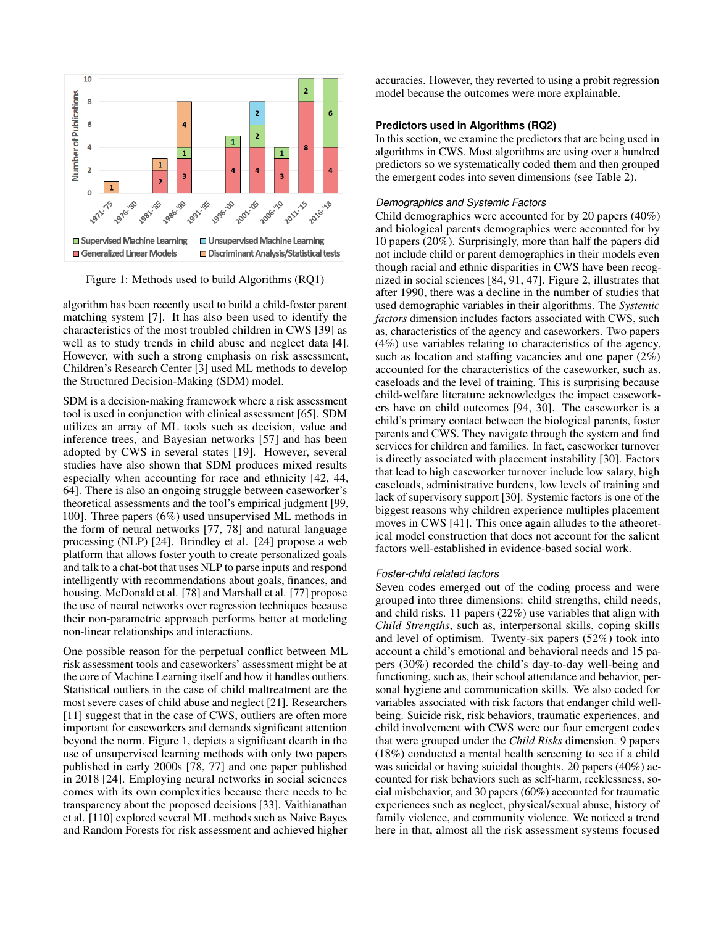<span id="page-4-0"></span>

Figure 1: Methods used to build Algorithms (RQ1)

algorithm has been recently used to build a child-foster parent matching system [\[7\]](#page-10-9). It has also been used to identify the characteristics of the most troubled children in CWS [\[39\]](#page-11-12) as well as to study trends in child abuse and neglect data [\[4\]](#page-10-8). However, with such a strong emphasis on risk assessment, Children's Research Center [\[3\]](#page-10-10) used ML methods to develop the Structured Decision-Making (SDM) model.

SDM is a decision-making framework where a risk assessment tool is used in conjunction with clinical assessment [\[65\]](#page-12-8). SDM utilizes an array of ML tools such as decision, value and inference trees, and Bayesian networks [\[57\]](#page-12-12) and has been adopted by CWS in several states [\[19\]](#page-10-13). However, several studies have also shown that SDM produces mixed results especially when accounting for race and ethnicity [\[42,](#page-11-16) [44,](#page-11-17) [64\]](#page-12-13). There is also an ongoing struggle between caseworker's theoretical assessments and the tool's empirical judgment [\[99,](#page-14-3) [100\]](#page-14-4). Three papers (6%) used unsupervised ML methods in the form of neural networks [\[77,](#page-13-9) [78\]](#page-13-8) and natural language processing (NLP) [\[24\]](#page-10-14). Brindley et al. [\[24\]](#page-10-14) propose a web platform that allows foster youth to create personalized goals and talk to a chat-bot that uses NLP to parse inputs and respond intelligently with recommendations about goals, finances, and housing. McDonald et al. [\[78\]](#page-13-8) and Marshall et al. [\[77\]](#page-13-9) propose the use of neural networks over regression techniques because their non-parametric approach performs better at modeling non-linear relationships and interactions.

One possible reason for the perpetual conflict between ML risk assessment tools and caseworkers' assessment might be at the core of Machine Learning itself and how it handles outliers. Statistical outliers in the case of child maltreatment are the most severe cases of child abuse and neglect [\[21\]](#page-10-12). Researchers [\[11\]](#page-10-15) suggest that in the case of CWS, outliers are often more important for caseworkers and demands significant attention beyond the norm. Figure [1,](#page-4-0) depicts a significant dearth in the use of unsupervised learning methods with only two papers published in early 2000s [\[78,](#page-13-8) [77\]](#page-13-9) and one paper published in 2018 [\[24\]](#page-10-14). Employing neural networks in social sciences comes with its own complexities because there needs to be transparency about the proposed decisions [\[33\]](#page-11-4). Vaithianathan et al. [\[110\]](#page-14-1) explored several ML methods such as Naive Bayes and Random Forests for risk assessment and achieved higher accuracies. However, they reverted to using a probit regression model because the outcomes were more explainable.

#### **Predictors used in Algorithms (RQ2)**

In this section, we examine the predictors that are being used in algorithms in CWS. Most algorithms are using over a hundred predictors so we systematically coded them and then grouped the emergent codes into seven dimensions (see Table [2\)](#page-3-0).

#### *Demographics and Systemic Factors*

Child demographics were accounted for by 20 papers (40%) and biological parents demographics were accounted for by 10 papers (20%). Surprisingly, more than half the papers did not include child or parent demographics in their models even though racial and ethnic disparities in CWS have been recognized in social sciences [\[84,](#page-13-13) [91,](#page-13-14) [47\]](#page-11-18). Figure [2,](#page-5-0) illustrates that after 1990, there was a decline in the number of studies that used demographic variables in their algorithms. The *Systemic factors* dimension includes factors associated with CWS, such as, characteristics of the agency and caseworkers. Two papers (4%) use variables relating to characteristics of the agency, such as location and staffing vacancies and one paper (2%) accounted for the characteristics of the caseworker, such as, caseloads and the level of training. This is surprising because child-welfare literature acknowledges the impact caseworkers have on child outcomes [\[94,](#page-13-15) [30\]](#page-11-6). The caseworker is a child's primary contact between the biological parents, foster parents and CWS. They navigate through the system and find services for children and families. In fact, caseworker turnover is directly associated with placement instability [\[30\]](#page-11-6). Factors that lead to high caseworker turnover include low salary, high caseloads, administrative burdens, low levels of training and lack of supervisory support [\[30\]](#page-11-6). Systemic factors is one of the biggest reasons why children experience multiples placement moves in CWS [\[41\]](#page-11-19). This once again alludes to the atheoretical model construction that does not account for the salient factors well-established in evidence-based social work.

#### *Foster-child related factors*

Seven codes emerged out of the coding process and were grouped into three dimensions: child strengths, child needs, and child risks. 11 papers (22%) use variables that align with *Child Strengths*, such as, interpersonal skills, coping skills and level of optimism. Twenty-six papers (52%) took into account a child's emotional and behavioral needs and 15 papers (30%) recorded the child's day-to-day well-being and functioning, such as, their school attendance and behavior, personal hygiene and communication skills. We also coded for variables associated with risk factors that endanger child wellbeing. Suicide risk, risk behaviors, traumatic experiences, and child involvement with CWS were our four emergent codes that were grouped under the *Child Risks* dimension. 9 papers (18%) conducted a mental health screening to see if a child was suicidal or having suicidal thoughts. 20 papers (40%) accounted for risk behaviors such as self-harm, recklessness, social misbehavior, and 30 papers (60%) accounted for traumatic experiences such as neglect, physical/sexual abuse, history of family violence, and community violence. We noticed a trend here in that, almost all the risk assessment systems focused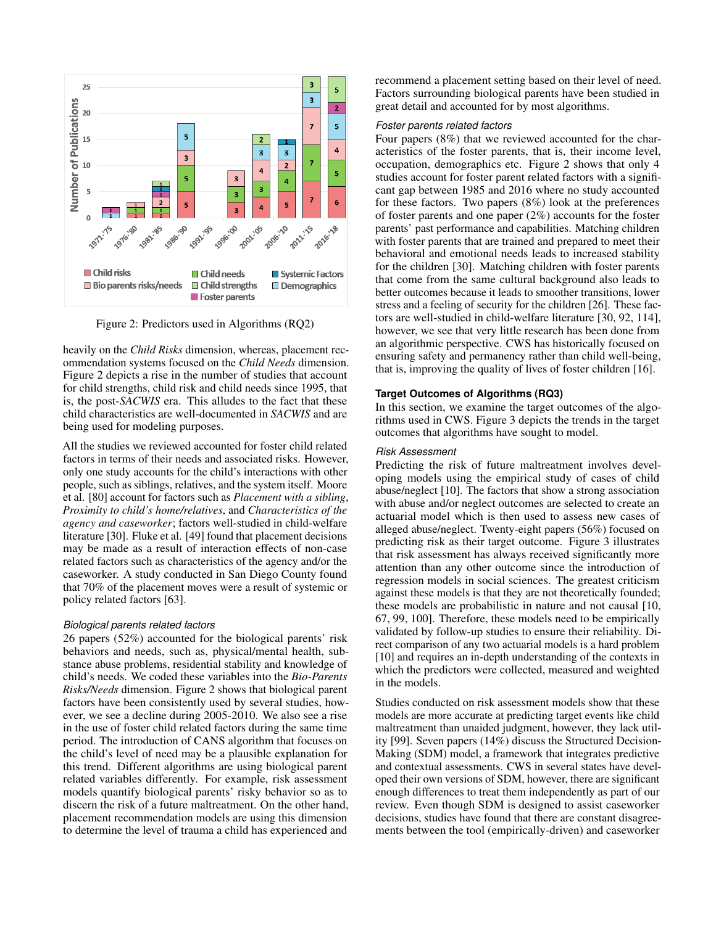<span id="page-5-0"></span>

Figure 2: Predictors used in Algorithms (RQ2)

heavily on the *Child Risks* dimension, whereas, placement recommendation systems focused on the *Child Needs* dimension. Figure [2](#page-5-0) depicts a rise in the number of studies that account for child strengths, child risk and child needs since 1995, that is, the post-*SACWIS* era. This alludes to the fact that these child characteristics are well-documented in *SACWIS* and are being used for modeling purposes.

All the studies we reviewed accounted for foster child related factors in terms of their needs and associated risks. However, only one study accounts for the child's interactions with other people, such as siblings, relatives, and the system itself. Moore et al. [\[80\]](#page-13-2) account for factors such as *Placement with a sibling*, *Proximity to child's home/relatives*, and *Characteristics of the agency and caseworker*; factors well-studied in child-welfare literature [\[30\]](#page-11-6). Fluke et al. [\[49\]](#page-11-13) found that placement decisions may be made as a result of interaction effects of non-case related factors such as characteristics of the agency and/or the caseworker. A study conducted in San Diego County found that 70% of the placement moves were a result of systemic or policy related factors [\[63\]](#page-12-14).

### *Biological parents related factors*

26 papers (52%) accounted for the biological parents' risk behaviors and needs, such as, physical/mental health, substance abuse problems, residential stability and knowledge of child's needs. We coded these variables into the *Bio-Parents Risks/Needs* dimension. Figure [2](#page-5-0) shows that biological parent factors have been consistently used by several studies, however, we see a decline during 2005-2010. We also see a rise in the use of foster child related factors during the same time period. The introduction of CANS algorithm that focuses on the child's level of need may be a plausible explanation for this trend. Different algorithms are using biological parent related variables differently. For example, risk assessment models quantify biological parents' risky behavior so as to discern the risk of a future maltreatment. On the other hand, placement recommendation models are using this dimension to determine the level of trauma a child has experienced and

recommend a placement setting based on their level of need. Factors surrounding biological parents have been studied in great detail and accounted for by most algorithms.

#### *Foster parents related factors*

Four papers (8%) that we reviewed accounted for the characteristics of the foster parents, that is, their income level, occupation, demographics etc. Figure [2](#page-5-0) shows that only 4 studies account for foster parent related factors with a significant gap between 1985 and 2016 where no study accounted for these factors. Two papers (8%) look at the preferences of foster parents and one paper (2%) accounts for the foster parents' past performance and capabilities. Matching children with foster parents that are trained and prepared to meet their behavioral and emotional needs leads to increased stability for the children [\[30\]](#page-11-6). Matching children with foster parents that come from the same cultural background also leads to better outcomes because it leads to smoother transitions, lower stress and a feeling of security for the children [\[26\]](#page-11-20). These factors are well-studied in child-welfare literature [\[30,](#page-11-6) [92,](#page-13-16) [114\]](#page-14-15), however, we see that very little research has been done from an algorithmic perspective. CWS has historically focused on ensuring safety and permanency rather than child well-being, that is, improving the quality of lives of foster children [\[16\]](#page-10-1).

#### **Target Outcomes of Algorithms (RQ3)**

In this section, we examine the target outcomes of the algorithms used in CWS. Figure [3](#page-6-0) depicts the trends in the target outcomes that algorithms have sought to model.

#### *Risk Assessment*

Predicting the risk of future maltreatment involves developing models using the empirical study of cases of child abuse/neglect [\[10\]](#page-10-11). The factors that show a strong association with abuse and/or neglect outcomes are selected to create an actuarial model which is then used to assess new cases of alleged abuse/neglect. Twenty-eight papers (56%) focused on predicting risk as their target outcome. Figure [3](#page-6-0) illustrates that risk assessment has always received significantly more attention than any other outcome since the introduction of regression models in social sciences. The greatest criticism against these models is that they are not theoretically founded; these models are probabilistic in nature and not causal [\[10,](#page-10-11) [67,](#page-12-15) [99,](#page-14-3) [100\]](#page-14-4). Therefore, these models need to be empirically validated by follow-up studies to ensure their reliability. Direct comparison of any two actuarial models is a hard problem [\[10\]](#page-10-11) and requires an in-depth understanding of the contexts in which the predictors were collected, measured and weighted in the models.

Studies conducted on risk assessment models show that these models are more accurate at predicting target events like child maltreatment than unaided judgment, however, they lack utility [\[99\]](#page-14-3). Seven papers (14%) discuss the Structured Decision-Making (SDM) model, a framework that integrates predictive and contextual assessments. CWS in several states have developed their own versions of SDM, however, there are significant enough differences to treat them independently as part of our review. Even though SDM is designed to assist caseworker decisions, studies have found that there are constant disagreements between the tool (empirically-driven) and caseworker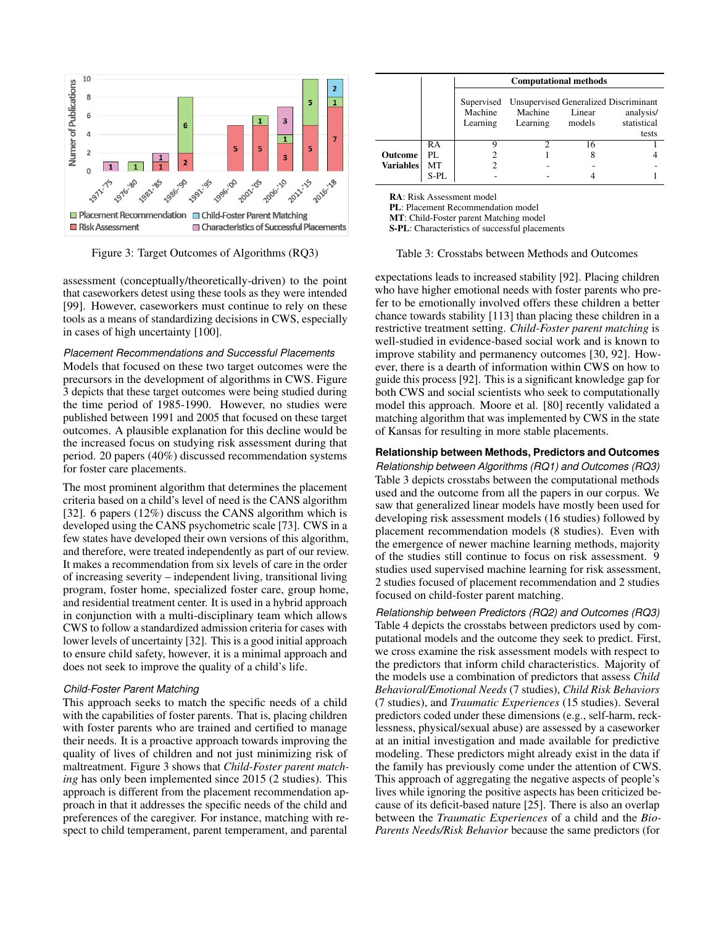<span id="page-6-0"></span>

Figure 3: Target Outcomes of Algorithms (RQ3)

assessment (conceptually/theoretically-driven) to the point that caseworkers detest using these tools as they were intended [\[99\]](#page-14-3). However, caseworkers must continue to rely on these tools as a means of standardizing decisions in CWS, especially in cases of high uncertainty [\[100\]](#page-14-4).

## *Placement Recommendations and Successful Placements*

Models that focused on these two target outcomes were the precursors in the development of algorithms in CWS. Figure [3](#page-6-0) depicts that these target outcomes were being studied during the time period of 1985-1990. However, no studies were published between 1991 and 2005 that focused on these target outcomes. A plausible explanation for this decline would be the increased focus on studying risk assessment during that period. 20 papers (40%) discussed recommendation systems for foster care placements.

The most prominent algorithm that determines the placement criteria based on a child's level of need is the CANS algorithm [\[32\]](#page-11-11). 6 papers (12%) discuss the CANS algorithm which is developed using the CANS psychometric scale [\[73\]](#page-13-10). CWS in a few states have developed their own versions of this algorithm, and therefore, were treated independently as part of our review. It makes a recommendation from six levels of care in the order of increasing severity – independent living, transitional living program, foster home, specialized foster care, group home, and residential treatment center. It is used in a hybrid approach in conjunction with a multi-disciplinary team which allows CWS to follow a standardized admission criteria for cases with lower levels of uncertainty [\[32\]](#page-11-11). This is a good initial approach to ensure child safety, however, it is a minimal approach and does not seek to improve the quality of a child's life.

#### *Child-Foster Parent Matching*

This approach seeks to match the specific needs of a child with the capabilities of foster parents. That is, placing children with foster parents who are trained and certified to manage their needs. It is a proactive approach towards improving the quality of lives of children and not just minimizing risk of maltreatment. Figure [3](#page-6-0) shows that *Child-Foster parent matching* has only been implemented since 2015 (2 studies). This approach is different from the placement recommendation approach in that it addresses the specific needs of the child and preferences of the caregiver. For instance, matching with respect to child temperament, parent temperament, and parental

<span id="page-6-1"></span>

|                                    |      | <b>Computational methods</b> |                                                                         |                  |                                   |  |  |
|------------------------------------|------|------------------------------|-------------------------------------------------------------------------|------------------|-----------------------------------|--|--|
|                                    |      | Machine<br>Learning          | Supervised Unsupervised Generalized Discriminant<br>Machine<br>Learning | Linear<br>models | analysis/<br>statistical<br>tests |  |  |
|                                    | RA   |                              |                                                                         | 16               |                                   |  |  |
| <b>Outcome</b><br><b>Variables</b> | PI.  |                              |                                                                         | 8                |                                   |  |  |
|                                    | МT   |                              |                                                                         |                  |                                   |  |  |
|                                    | S-PL |                              |                                                                         |                  |                                   |  |  |

RA: Risk Assessment model

PL: Placement Recommendation model

MT: Child-Foster parent Matching model

S-PL: Characteristics of successful placements

## Table 3: Crosstabs between Methods and Outcomes

expectations leads to increased stability [\[92\]](#page-13-16). Placing children who have higher emotional needs with foster parents who prefer to be emotionally involved offers these children a better chance towards stability [\[113\]](#page-14-16) than placing these children in a restrictive treatment setting. *Child-Foster parent matching* is well-studied in evidence-based social work and is known to improve stability and permanency outcomes [\[30,](#page-11-6) [92\]](#page-13-16). However, there is a dearth of information within CWS on how to guide this process [\[92\]](#page-13-16). This is a significant knowledge gap for both CWS and social scientists who seek to computationally model this approach. Moore et al. [\[80\]](#page-13-2) recently validated a matching algorithm that was implemented by CWS in the state of Kansas for resulting in more stable placements.

#### **Relationship between Methods, Predictors and Outcomes**

*Relationship between Algorithms (RQ1) and Outcomes (RQ3)* Table [3](#page-6-1) depicts crosstabs between the computational methods used and the outcome from all the papers in our corpus. We saw that generalized linear models have mostly been used for developing risk assessment models (16 studies) followed by placement recommendation models (8 studies). Even with the emergence of newer machine learning methods, majority of the studies still continue to focus on risk assessment. 9 studies used supervised machine learning for risk assessment, 2 studies focused of placement recommendation and 2 studies focused on child-foster parent matching.

*Relationship between Predictors (RQ2) and Outcomes (RQ3)* Table [4](#page-7-0) depicts the crosstabs between predictors used by computational models and the outcome they seek to predict. First, we cross examine the risk assessment models with respect to the predictors that inform child characteristics. Majority of the models use a combination of predictors that assess *Child Behavioral/Emotional Needs* (7 studies), *Child Risk Behaviors* (7 studies), and *Traumatic Experiences* (15 studies). Several predictors coded under these dimensions (e.g., self-harm, recklessness, physical/sexual abuse) are assessed by a caseworker at an initial investigation and made available for predictive modeling. These predictors might already exist in the data if the family has previously come under the attention of CWS. This approach of aggregating the negative aspects of people's lives while ignoring the positive aspects has been criticized because of its deficit-based nature [\[25\]](#page-11-8). There is also an overlap between the *Traumatic Experiences* of a child and the *Bio-Parents Needs/Risk Behavior* because the same predictors (for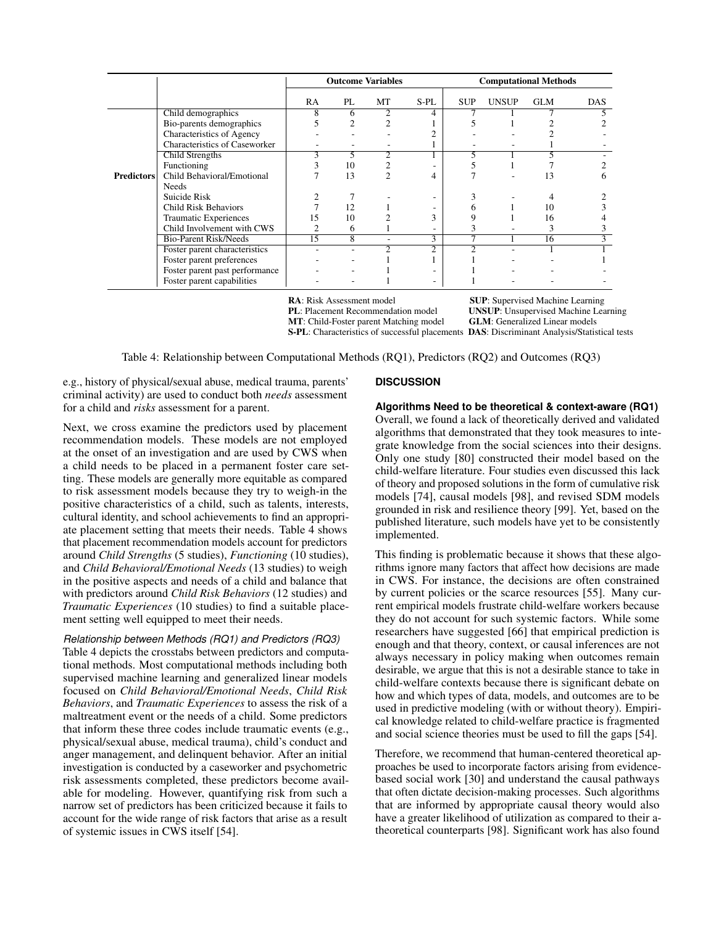<span id="page-7-0"></span>

|                   |                                | <b>Outcome Variables</b> |                         |                |                          | <b>Computational Methods</b> |              |            |            |
|-------------------|--------------------------------|--------------------------|-------------------------|----------------|--------------------------|------------------------------|--------------|------------|------------|
|                   |                                | RA.                      | PL.                     | MT             | S-PL                     | <b>SUP</b>                   | <b>UNSUP</b> | <b>GLM</b> | <b>DAS</b> |
|                   | Child demographics             | 8                        | 6                       | 2              | 4                        |                              |              |            |            |
|                   | Bio-parents demographics       | 5                        | $\mathfrak{D}$          | $\mathfrak{D}$ |                          |                              |              |            |            |
|                   | Characteristics of Agency      |                          |                         |                | っ                        |                              |              |            |            |
|                   | Characteristics of Caseworker  |                          |                         |                |                          |                              |              |            |            |
|                   | <b>Child Strengths</b>         | 3                        |                         | $\overline{2}$ |                          |                              |              |            |            |
|                   | Functioning                    | 3                        | 10                      |                |                          |                              |              |            |            |
| <b>Predictors</b> | Child Behavioral/Emotional     |                          | 13                      | $\mathfrak{D}$ | 4                        |                              |              | 13         | h          |
|                   | <b>Needs</b>                   |                          |                         |                |                          |                              |              |            |            |
|                   | Suicide Risk                   |                          |                         |                |                          |                              |              |            |            |
|                   | <b>Child Risk Behaviors</b>    |                          | 12                      |                |                          | 6                            |              | 10         |            |
|                   | <b>Traumatic Experiences</b>   | 15                       | 10                      |                | 3                        | 9                            |              | 16         |            |
|                   | Child Involvement with CWS     | 2                        | 6                       |                | $\overline{\phantom{a}}$ | 3                            |              | 3          |            |
|                   | <b>Bio-Parent Risk/Needs</b>   | 15                       | $\overline{\mathbf{g}}$ | ۰              | 3                        |                              |              | 16         |            |
|                   | Foster parent characteristics  |                          | ٠                       | $\overline{2}$ | 2                        |                              |              |            |            |
|                   | Foster parent preferences      |                          |                         |                |                          |                              |              |            |            |
|                   | Foster parent past performance |                          |                         |                |                          |                              |              |            |            |
|                   | Foster parent capabilities     |                          |                         |                | -                        |                              |              |            |            |

MT: Child-Foster parent Matching model

**RA:** Risk Assessment model **SUP:** Supervised Machine Learning<br> **PL:** Placement Recommendation model **UNSUP:** Unsupervised Machine Lea UNSUP: Unsupervised Machine Learning<br>GLM: Generalized Linear models S-PL: Characteristics of successful placements DAS: Discriminant Analysis/Statistical tests

Table 4: Relationship between Computational Methods (RQ1), Predictors (RQ2) and Outcomes (RQ3)

e.g., history of physical/sexual abuse, medical trauma, parents' criminal activity) are used to conduct both *needs* assessment for a child and *risks* assessment for a parent.

Next, we cross examine the predictors used by placement recommendation models. These models are not employed at the onset of an investigation and are used by CWS when a child needs to be placed in a permanent foster care setting. These models are generally more equitable as compared to risk assessment models because they try to weigh-in the positive characteristics of a child, such as talents, interests, cultural identity, and school achievements to find an appropriate placement setting that meets their needs. Table [4](#page-7-0) shows that placement recommendation models account for predictors around *Child Strengths* (5 studies), *Functioning* (10 studies), and *Child Behavioral/Emotional Needs* (13 studies) to weigh in the positive aspects and needs of a child and balance that with predictors around *Child Risk Behaviors* (12 studies) and *Traumatic Experiences* (10 studies) to find a suitable placement setting well equipped to meet their needs.

# *Relationship between Methods (RQ1) and Predictors (RQ3)*

Table [4](#page-7-0) depicts the crosstabs between predictors and computational methods. Most computational methods including both supervised machine learning and generalized linear models focused on *Child Behavioral/Emotional Needs*, *Child Risk Behaviors*, and *Traumatic Experiences* to assess the risk of a maltreatment event or the needs of a child. Some predictors that inform these three codes include traumatic events (e.g., physical/sexual abuse, medical trauma), child's conduct and anger management, and delinquent behavior. After an initial investigation is conducted by a caseworker and psychometric risk assessments completed, these predictors become available for modeling. However, quantifying risk from such a narrow set of predictors has been criticized because it fails to account for the wide range of risk factors that arise as a result of systemic issues in CWS itself [\[54\]](#page-12-16).

# **DISCUSSION**

**Algorithms Need to be theoretical & context-aware (RQ1)**

Overall, we found a lack of theoretically derived and validated algorithms that demonstrated that they took measures to integrate knowledge from the social sciences into their designs. Only one study [\[80\]](#page-13-2) constructed their model based on the child-welfare literature. Four studies even discussed this lack of theory and proposed solutions in the form of cumulative risk models [\[74\]](#page-13-17), causal models [\[98\]](#page-14-8), and revised SDM models grounded in risk and resilience theory [\[99\]](#page-14-3). Yet, based on the published literature, such models have yet to be consistently implemented.

This finding is problematic because it shows that these algorithms ignore many factors that affect how decisions are made in CWS. For instance, the decisions are often constrained by current policies or the scarce resources [\[55\]](#page-12-2). Many current empirical models frustrate child-welfare workers because they do not account for such systemic factors. While some researchers have suggested [\[66\]](#page-12-6) that empirical prediction is enough and that theory, context, or causal inferences are not always necessary in policy making when outcomes remain desirable, we argue that this is not a desirable stance to take in child-welfare contexts because there is significant debate on how and which types of data, models, and outcomes are to be used in predictive modeling (with or without theory). Empirical knowledge related to child-welfare practice is fragmented and social science theories must be used to fill the gaps [\[54\]](#page-12-16).

Therefore, we recommend that human-centered theoretical approaches be used to incorporate factors arising from evidencebased social work [\[30\]](#page-11-6) and understand the causal pathways that often dictate decision-making processes. Such algorithms that are informed by appropriate causal theory would also have a greater likelihood of utilization as compared to their atheoretical counterparts [\[98\]](#page-14-8). Significant work has also found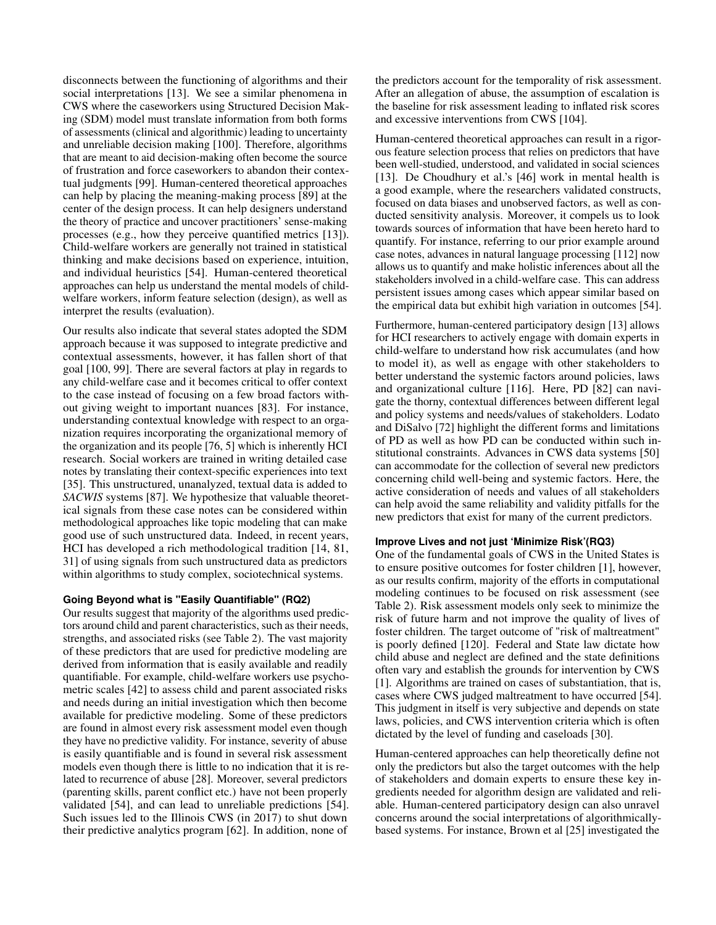disconnects between the functioning of algorithms and their social interpretations [\[13\]](#page-10-3). We see a similar phenomena in CWS where the caseworkers using Structured Decision Making (SDM) model must translate information from both forms of assessments (clinical and algorithmic) leading to uncertainty and unreliable decision making [\[100\]](#page-14-4). Therefore, algorithms that are meant to aid decision-making often become the source of frustration and force caseworkers to abandon their contextual judgments [\[99\]](#page-14-3). Human-centered theoretical approaches can help by placing the meaning-making process [\[89\]](#page-13-4) at the center of the design process. It can help designers understand the theory of practice and uncover practitioners' sense-making processes (e.g., how they perceive quantified metrics [\[13\]](#page-10-3)). Child-welfare workers are generally not trained in statistical thinking and make decisions based on experience, intuition, and individual heuristics [\[54\]](#page-12-16). Human-centered theoretical approaches can help us understand the mental models of childwelfare workers, inform feature selection (design), as well as interpret the results (evaluation).

Our results also indicate that several states adopted the SDM approach because it was supposed to integrate predictive and contextual assessments, however, it has fallen short of that goal [\[100,](#page-14-4) [99\]](#page-14-3). There are several factors at play in regards to any child-welfare case and it becomes critical to offer context to the case instead of focusing on a few broad factors without giving weight to important nuances [\[83\]](#page-13-18). For instance, understanding contextual knowledge with respect to an organization requires incorporating the organizational memory of the organization and its people [\[76,](#page-13-19) [5\]](#page-10-16) which is inherently HCI research. Social workers are trained in writing detailed case notes by translating their context-specific experiences into text [\[35\]](#page-11-21). This unstructured, unanalyzed, textual data is added to *SACWIS* systems [\[87\]](#page-13-0). We hypothesize that valuable theoretical signals from these case notes can be considered within methodological approaches like topic modeling that can make good use of such unstructured data. Indeed, in recent years, HCI has developed a rich methodological tradition [\[14,](#page-10-17) [81,](#page-13-20) [31\]](#page-11-22) of using signals from such unstructured data as predictors within algorithms to study complex, sociotechnical systems.

# **Going Beyond what is "Easily Quantifiable" (RQ2)**

Our results suggest that majority of the algorithms used predictors around child and parent characteristics, such as their needs, strengths, and associated risks (see Table [2\)](#page-3-0). The vast majority of these predictors that are used for predictive modeling are derived from information that is easily available and readily quantifiable. For example, child-welfare workers use psychometric scales [\[42\]](#page-11-16) to assess child and parent associated risks and needs during an initial investigation which then become available for predictive modeling. Some of these predictors are found in almost every risk assessment model even though they have no predictive validity. For instance, severity of abuse is easily quantifiable and is found in several risk assessment models even though there is little to no indication that it is related to recurrence of abuse [\[28\]](#page-11-23). Moreover, several predictors (parenting skills, parent conflict etc.) have not been properly validated [\[54\]](#page-12-16), and can lead to unreliable predictions [\[54\]](#page-12-16). Such issues led to the Illinois CWS (in 2017) to shut down their predictive analytics program [\[62\]](#page-12-17). In addition, none of

the predictors account for the temporality of risk assessment. After an allegation of abuse, the assumption of escalation is the baseline for risk assessment leading to inflated risk scores and excessive interventions from CWS [\[104\]](#page-14-17).

Human-centered theoretical approaches can result in a rigorous feature selection process that relies on predictors that have been well-studied, understood, and validated in social sciences [\[13\]](#page-10-3). De Choudhury et al.'s [\[46\]](#page-11-24) work in mental health is a good example, where the researchers validated constructs, focused on data biases and unobserved factors, as well as conducted sensitivity analysis. Moreover, it compels us to look towards sources of information that have been hereto hard to quantify. For instance, referring to our prior example around case notes, advances in natural language processing [\[112\]](#page-14-18) now allows us to quantify and make holistic inferences about all the stakeholders involved in a child-welfare case. This can address persistent issues among cases which appear similar based on the empirical data but exhibit high variation in outcomes [\[54\]](#page-12-16).

Furthermore, human-centered participatory design [\[13\]](#page-10-3) allows for HCI researchers to actively engage with domain experts in child-welfare to understand how risk accumulates (and how to model it), as well as engage with other stakeholders to better understand the systemic factors around policies, laws and organizational culture [\[116\]](#page-14-19). Here, PD [\[82\]](#page-13-21) can navigate the thorny, contextual differences between different legal and policy systems and needs/values of stakeholders. Lodato and DiSalvo [\[72\]](#page-12-18) highlight the different forms and limitations of PD as well as how PD can be conducted within such institutional constraints. Advances in CWS data systems [\[50\]](#page-12-19) can accommodate for the collection of several new predictors concerning child well-being and systemic factors. Here, the active consideration of needs and values of all stakeholders can help avoid the same reliability and validity pitfalls for the new predictors that exist for many of the current predictors.

### **Improve Lives and not just 'Minimize Risk'(RQ3)**

One of the fundamental goals of CWS in the United States is to ensure positive outcomes for foster children [\[1\]](#page-10-18), however, as our results confirm, majority of the efforts in computational modeling continues to be focused on risk assessment (see Table [2\)](#page-3-0). Risk assessment models only seek to minimize the risk of future harm and not improve the quality of lives of foster children. The target outcome of "risk of maltreatment" is poorly defined [\[120\]](#page-14-20). Federal and State law dictate how child abuse and neglect are defined and the state definitions often vary and establish the grounds for intervention by CWS [\[1\]](#page-10-18). Algorithms are trained on cases of substantiation, that is, cases where CWS judged maltreatment to have occurred [\[54\]](#page-12-16). This judgment in itself is very subjective and depends on state laws, policies, and CWS intervention criteria which is often dictated by the level of funding and caseloads [\[30\]](#page-11-6).

Human-centered approaches can help theoretically define not only the predictors but also the target outcomes with the help of stakeholders and domain experts to ensure these key ingredients needed for algorithm design are validated and reliable. Human-centered participatory design can also unravel concerns around the social interpretations of algorithmicallybased systems. For instance, Brown et al [\[25\]](#page-11-8) investigated the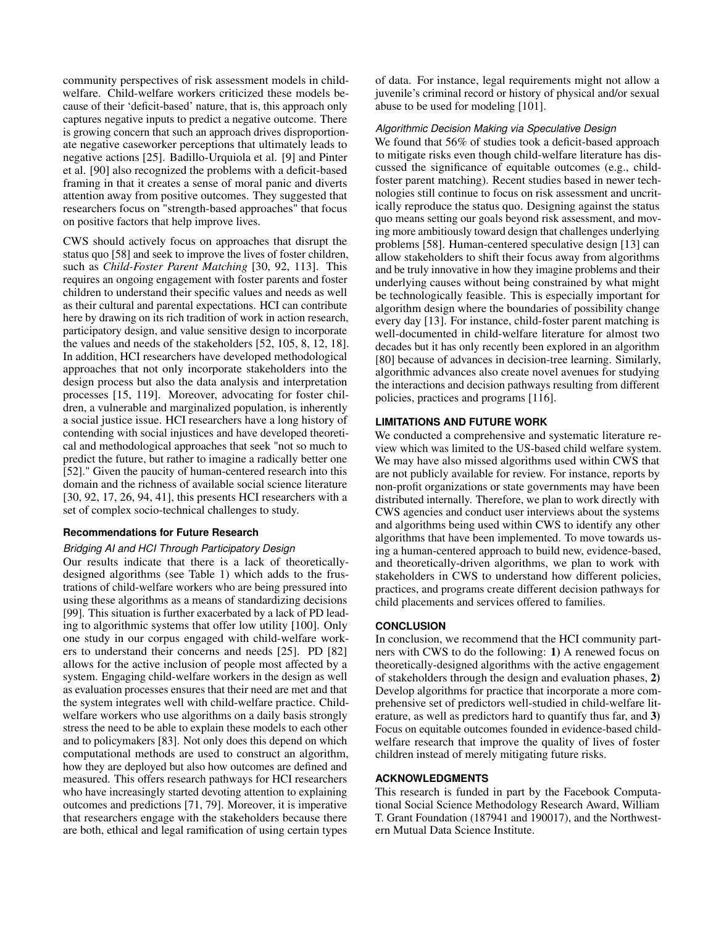community perspectives of risk assessment models in childwelfare. Child-welfare workers criticized these models because of their 'deficit-based' nature, that is, this approach only captures negative inputs to predict a negative outcome. There is growing concern that such an approach drives disproportionate negative caseworker perceptions that ultimately leads to negative actions [\[25\]](#page-11-8). Badillo-Urquiola et al. [\[9\]](#page-10-4) and Pinter et al. [\[90\]](#page-13-22) also recognized the problems with a deficit-based framing in that it creates a sense of moral panic and diverts attention away from positive outcomes. They suggested that researchers focus on "strength-based approaches" that focus on positive factors that help improve lives.

CWS should actively focus on approaches that disrupt the status quo [\[58\]](#page-12-20) and seek to improve the lives of foster children, such as *Child-Foster Parent Matching* [\[30,](#page-11-6) [92,](#page-13-16) [113\]](#page-14-16). This requires an ongoing engagement with foster parents and foster children to understand their specific values and needs as well as their cultural and parental expectations. HCI can contribute here by drawing on its rich tradition of work in action research, participatory design, and value sensitive design to incorporate the values and needs of the stakeholders [\[52,](#page-12-21) [105,](#page-14-21) [8,](#page-10-19) [12,](#page-10-20) [18\]](#page-10-21). In addition, HCI researchers have developed methodological approaches that not only incorporate stakeholders into the design process but also the data analysis and interpretation processes [\[15,](#page-10-22) [119\]](#page-14-22). Moreover, advocating for foster children, a vulnerable and marginalized population, is inherently a social justice issue. HCI researchers have a long history of contending with social injustices and have developed theoretical and methodological approaches that seek "not so much to predict the future, but rather to imagine a radically better one [\[52\]](#page-12-21)." Given the paucity of human-centered research into this domain and the richness of available social science literature [\[30,](#page-11-6) [92,](#page-13-16) [17,](#page-10-23) [26,](#page-11-20) [94,](#page-13-15) [41\]](#page-11-19), this presents HCI researchers with a set of complex socio-technical challenges to study.

## **Recommendations for Future Research**

### *Bridging AI and HCI Through Participatory Design*

Our results indicate that there is a lack of theoreticallydesigned algorithms (see Table [1\)](#page-2-0) which adds to the frustrations of child-welfare workers who are being pressured into using these algorithms as a means of standardizing decisions [\[99\]](#page-14-3). This situation is further exacerbated by a lack of PD leading to algorithmic systems that offer low utility [\[100\]](#page-14-4). Only one study in our corpus engaged with child-welfare workers to understand their concerns and needs [\[25\]](#page-11-8). PD [\[82\]](#page-13-21) allows for the active inclusion of people most affected by a system. Engaging child-welfare workers in the design as well as evaluation processes ensures that their need are met and that the system integrates well with child-welfare practice. Childwelfare workers who use algorithms on a daily basis strongly stress the need to be able to explain these models to each other and to policymakers [\[83\]](#page-13-18). Not only does this depend on which computational methods are used to construct an algorithm, how they are deployed but also how outcomes are defined and measured. This offers research pathways for HCI researchers who have increasingly started devoting attention to explaining outcomes and predictions [\[71,](#page-12-22) [79\]](#page-13-23). Moreover, it is imperative that researchers engage with the stakeholders because there are both, ethical and legal ramification of using certain types

of data. For instance, legal requirements might not allow a juvenile's criminal record or history of physical and/or sexual abuse to be used for modeling [\[101\]](#page-14-23).

### *Algorithmic Decision Making via Speculative Design*

We found that 56% of studies took a deficit-based approach to mitigate risks even though child-welfare literature has discussed the significance of equitable outcomes (e.g., childfoster parent matching). Recent studies based in newer technologies still continue to focus on risk assessment and uncritically reproduce the status quo. Designing against the status quo means setting our goals beyond risk assessment, and moving more ambitiously toward design that challenges underlying problems [\[58\]](#page-12-20). Human-centered speculative design [\[13\]](#page-10-3) can allow stakeholders to shift their focus away from algorithms and be truly innovative in how they imagine problems and their underlying causes without being constrained by what might be technologically feasible. This is especially important for algorithm design where the boundaries of possibility change every day [\[13\]](#page-10-3). For instance, child-foster parent matching is well-documented in child-welfare literature for almost two decades but it has only recently been explored in an algorithm [\[80\]](#page-13-2) because of advances in decision-tree learning. Similarly, algorithmic advances also create novel avenues for studying the interactions and decision pathways resulting from different policies, practices and programs [\[116\]](#page-14-19).

## **LIMITATIONS AND FUTURE WORK**

We conducted a comprehensive and systematic literature review which was limited to the US-based child welfare system. We may have also missed algorithms used within CWS that are not publicly available for review. For instance, reports by non-profit organizations or state governments may have been distributed internally. Therefore, we plan to work directly with CWS agencies and conduct user interviews about the systems and algorithms being used within CWS to identify any other algorithms that have been implemented. To move towards using a human-centered approach to build new, evidence-based, and theoretically-driven algorithms, we plan to work with stakeholders in CWS to understand how different policies, practices, and programs create different decision pathways for child placements and services offered to families.

### **CONCLUSION**

In conclusion, we recommend that the HCI community partners with CWS to do the following: 1) A renewed focus on theoretically-designed algorithms with the active engagement of stakeholders through the design and evaluation phases, 2) Develop algorithms for practice that incorporate a more comprehensive set of predictors well-studied in child-welfare literature, as well as predictors hard to quantify thus far, and 3) Focus on equitable outcomes founded in evidence-based childwelfare research that improve the quality of lives of foster children instead of merely mitigating future risks.

# **ACKNOWLEDGMENTS**

This research is funded in part by the Facebook Computational Social Science Methodology Research Award, William T. Grant Foundation (187941 and 190017), and the Northwestern Mutual Data Science Institute.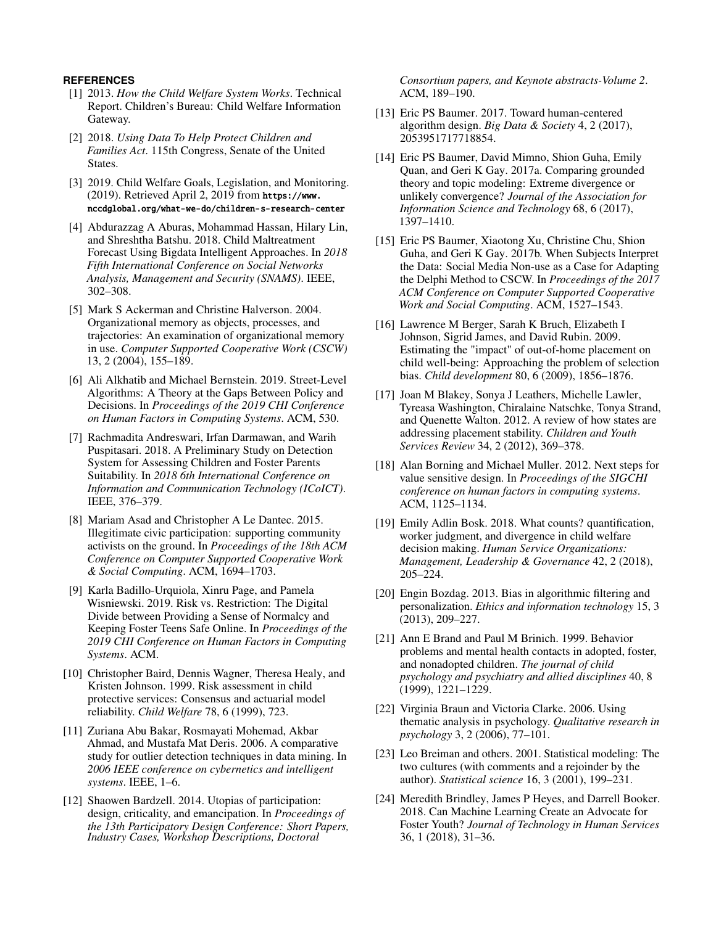# <span id="page-10-18"></span>**REFERENCES**

- [1] 2013. *How the Child Welfare System Works*. Technical Report. Children's Bureau: Child Welfare Information Gateway.
- <span id="page-10-0"></span>[2] 2018. *Using Data To Help Protect Children and Families Act*. 115th Congress, Senate of the United States.
- <span id="page-10-10"></span>[3] 2019. Child Welfare Goals, Legislation, and Monitoring. (2019). Retrieved April 2, 2019 from [https://www.](https://www.nccdglobal.org/what-we-do/children-s-research-center) [nccdglobal.org/what-we-do/children-s-research-center](https://www.nccdglobal.org/what-we-do/children-s-research-center)
- <span id="page-10-8"></span>[4] Abdurazzag A Aburas, Mohammad Hassan, Hilary Lin, and Shreshtha Batshu. 2018. Child Maltreatment Forecast Using Bigdata Intelligent Approaches. In *2018 Fifth International Conference on Social Networks Analysis, Management and Security (SNAMS)*. IEEE, 302–308.
- <span id="page-10-16"></span>[5] Mark S Ackerman and Christine Halverson. 2004. Organizational memory as objects, processes, and trajectories: An examination of organizational memory in use. *Computer Supported Cooperative Work (CSCW)* 13, 2 (2004), 155–189.
- <span id="page-10-5"></span>[6] Ali Alkhatib and Michael Bernstein. 2019. Street-Level Algorithms: A Theory at the Gaps Between Policy and Decisions. In *Proceedings of the 2019 CHI Conference on Human Factors in Computing Systems*. ACM, 530.
- <span id="page-10-9"></span>[7] Rachmadita Andreswari, Irfan Darmawan, and Warih Puspitasari. 2018. A Preliminary Study on Detection System for Assessing Children and Foster Parents Suitability. In *2018 6th International Conference on Information and Communication Technology (ICoICT)*. IEEE, 376–379.
- <span id="page-10-19"></span>[8] Mariam Asad and Christopher A Le Dantec. 2015. Illegitimate civic participation: supporting community activists on the ground. In *Proceedings of the 18th ACM Conference on Computer Supported Cooperative Work & Social Computing*. ACM, 1694–1703.
- <span id="page-10-4"></span>[9] Karla Badillo-Urquiola, Xinru Page, and Pamela Wisniewski. 2019. Risk vs. Restriction: The Digital Divide between Providing a Sense of Normalcy and Keeping Foster Teens Safe Online. In *Proceedings of the 2019 CHI Conference on Human Factors in Computing Systems*. ACM.
- <span id="page-10-11"></span>[10] Christopher Baird, Dennis Wagner, Theresa Healy, and Kristen Johnson. 1999. Risk assessment in child protective services: Consensus and actuarial model reliability. *Child Welfare* 78, 6 (1999), 723.
- <span id="page-10-15"></span>[11] Zuriana Abu Bakar, Rosmayati Mohemad, Akbar Ahmad, and Mustafa Mat Deris. 2006. A comparative study for outlier detection techniques in data mining. In *2006 IEEE conference on cybernetics and intelligent systems*. IEEE, 1–6.
- <span id="page-10-20"></span>[12] Shaowen Bardzell. 2014. Utopias of participation: design, criticality, and emancipation. In *Proceedings of the 13th Participatory Design Conference: Short Papers, Industry Cases, Workshop Descriptions, Doctoral*

*Consortium papers, and Keynote abstracts-Volume 2*. ACM, 189–190.

- <span id="page-10-3"></span>[13] Eric PS Baumer. 2017. Toward human-centered algorithm design. *Big Data & Society* 4, 2 (2017), 2053951717718854.
- <span id="page-10-17"></span>[14] Eric PS Baumer, David Mimno, Shion Guha, Emily Quan, and Geri K Gay. 2017a. Comparing grounded theory and topic modeling: Extreme divergence or unlikely convergence? *Journal of the Association for Information Science and Technology* 68, 6 (2017), 1397–1410.
- <span id="page-10-22"></span>[15] Eric PS Baumer, Xiaotong Xu, Christine Chu, Shion Guha, and Geri K Gay. 2017b. When Subjects Interpret the Data: Social Media Non-use as a Case for Adapting the Delphi Method to CSCW. In *Proceedings of the 2017 ACM Conference on Computer Supported Cooperative Work and Social Computing*. ACM, 1527–1543.
- <span id="page-10-1"></span>[16] Lawrence M Berger, Sarah K Bruch, Elizabeth I Johnson, Sigrid James, and David Rubin. 2009. Estimating the "impact" of out-of-home placement on child well-being: Approaching the problem of selection bias. *Child development* 80, 6 (2009), 1856–1876.
- <span id="page-10-23"></span>[17] Joan M Blakey, Sonya J Leathers, Michelle Lawler, Tyreasa Washington, Chiralaine Natschke, Tonya Strand, and Quenette Walton. 2012. A review of how states are addressing placement stability. *Children and Youth Services Review* 34, 2 (2012), 369–378.
- <span id="page-10-21"></span>[18] Alan Borning and Michael Muller. 2012. Next steps for value sensitive design. In *Proceedings of the SIGCHI conference on human factors in computing systems*. ACM, 1125–1134.
- <span id="page-10-13"></span>[19] Emily Adlin Bosk. 2018. What counts? quantification, worker judgment, and divergence in child welfare decision making. *Human Service Organizations: Management, Leadership & Governance* 42, 2 (2018), 205–224.
- <span id="page-10-2"></span>[20] Engin Bozdag. 2013. Bias in algorithmic filtering and personalization. *Ethics and information technology* 15, 3 (2013), 209–227.
- <span id="page-10-12"></span>[21] Ann E Brand and Paul M Brinich. 1999. Behavior problems and mental health contacts in adopted, foster, and nonadopted children. *The journal of child psychology and psychiatry and allied disciplines* 40, 8 (1999), 1221–1229.
- <span id="page-10-7"></span>[22] Virginia Braun and Victoria Clarke. 2006. Using thematic analysis in psychology. *Qualitative research in psychology* 3, 2 (2006), 77–101.
- <span id="page-10-6"></span>[23] Leo Breiman and others. 2001. Statistical modeling: The two cultures (with comments and a rejoinder by the author). *Statistical science* 16, 3 (2001), 199–231.
- <span id="page-10-14"></span>[24] Meredith Brindley, James P Heyes, and Darrell Booker. 2018. Can Machine Learning Create an Advocate for Foster Youth? *Journal of Technology in Human Services* 36, 1 (2018), 31–36.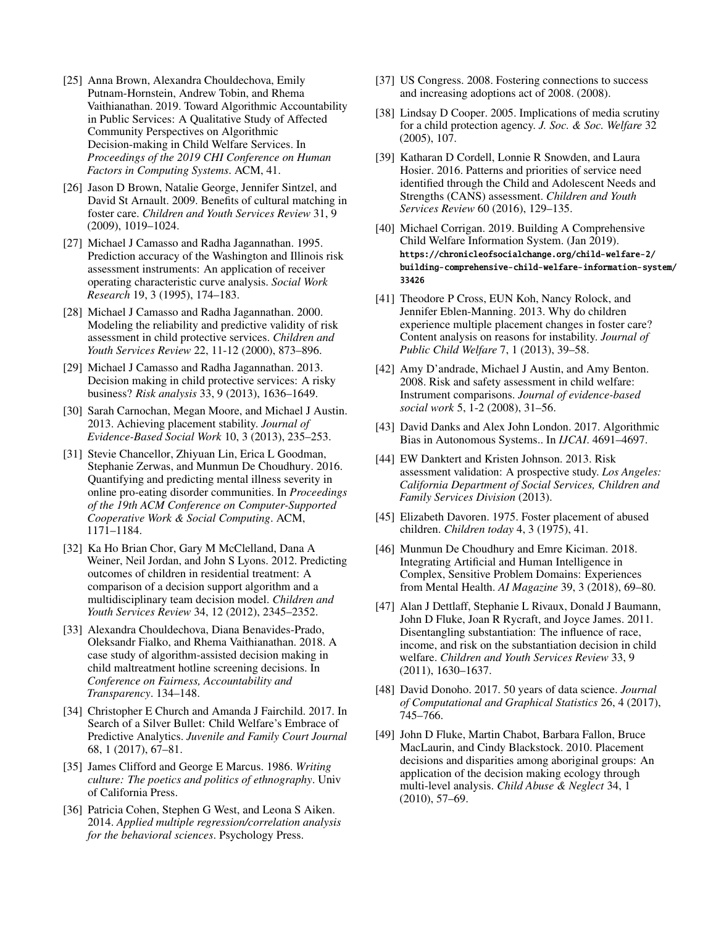- <span id="page-11-8"></span>[25] Anna Brown, Alexandra Chouldechova, Emily Putnam-Hornstein, Andrew Tobin, and Rhema Vaithianathan. 2019. Toward Algorithmic Accountability in Public Services: A Qualitative Study of Affected Community Perspectives on Algorithmic Decision-making in Child Welfare Services. In *Proceedings of the 2019 CHI Conference on Human Factors in Computing Systems*. ACM, 41.
- <span id="page-11-20"></span>[26] Jason D Brown, Natalie George, Jennifer Sintzel, and David St Arnault. 2009. Benefits of cultural matching in foster care. *Children and Youth Services Review* 31, 9 (2009), 1019–1024.
- <span id="page-11-14"></span>[27] Michael J Camasso and Radha Jagannathan. 1995. Prediction accuracy of the Washington and Illinois risk assessment instruments: An application of receiver operating characteristic curve analysis. *Social Work Research* 19, 3 (1995), 174–183.
- <span id="page-11-23"></span>[28] Michael J Camasso and Radha Jagannathan. 2000. Modeling the reliability and predictive validity of risk assessment in child protective services. *Children and Youth Services Review* 22, 11-12 (2000), 873–896.
- <span id="page-11-9"></span>[29] Michael J Camasso and Radha Jagannathan. 2013. Decision making in child protective services: A risky business? *Risk analysis* 33, 9 (2013), 1636–1649.
- <span id="page-11-6"></span>[30] Sarah Carnochan, Megan Moore, and Michael J Austin. 2013. Achieving placement stability. *Journal of Evidence-Based Social Work* 10, 3 (2013), 235–253.
- <span id="page-11-22"></span>[31] Stevie Chancellor, Zhiyuan Lin, Erica L Goodman, Stephanie Zerwas, and Munmun De Choudhury. 2016. Quantifying and predicting mental illness severity in online pro-eating disorder communities. In *Proceedings of the 19th ACM Conference on Computer-Supported Cooperative Work & Social Computing*. ACM, 1171–1184.
- <span id="page-11-11"></span>[32] Ka Ho Brian Chor, Gary M McClelland, Dana A Weiner, Neil Jordan, and John S Lyons. 2012. Predicting outcomes of children in residential treatment: A comparison of a decision support algorithm and a multidisciplinary team decision model. *Children and Youth Services Review* 34, 12 (2012), 2345–2352.
- <span id="page-11-4"></span>[33] Alexandra Chouldechova, Diana Benavides-Prado, Oleksandr Fialko, and Rhema Vaithianathan. 2018. A case study of algorithm-assisted decision making in child maltreatment hotline screening decisions. In *Conference on Fairness, Accountability and Transparency*. 134–148.
- <span id="page-11-3"></span>[34] Christopher E Church and Amanda J Fairchild. 2017. In Search of a Silver Bullet: Child Welfare's Embrace of Predictive Analytics. *Juvenile and Family Court Journal* 68, 1 (2017), 67–81.
- <span id="page-11-21"></span>[35] James Clifford and George E Marcus. 1986. *Writing culture: The poetics and politics of ethnography*. Univ of California Press.
- <span id="page-11-5"></span>[36] Patricia Cohen, Stephen G West, and Leona S Aiken. 2014. *Applied multiple regression/correlation analysis for the behavioral sciences*. Psychology Press.
- <span id="page-11-0"></span>[37] US Congress. 2008. Fostering connections to success and increasing adoptions act of 2008. (2008).
- <span id="page-11-1"></span>[38] Lindsay D Cooper. 2005. Implications of media scrutiny for a child protection agency. *J. Soc. & Soc. Welfare* 32 (2005), 107.
- <span id="page-11-12"></span>[39] Katharan D Cordell, Lonnie R Snowden, and Laura Hosier. 2016. Patterns and priorities of service need identified through the Child and Adolescent Needs and Strengths (CANS) assessment. *Children and Youth Services Review* 60 (2016), 129–135.
- <span id="page-11-15"></span>[40] Michael Corrigan. 2019. Building A Comprehensive Child Welfare Information System. (Jan 2019). [https://chronicleofsocialchange.org/child-welfare-2/](https://chronicleofsocialchange.org/child-welfare-2/building-comprehensive-child-welfare-information-system/33426) [building-comprehensive-child-welfare-information-syst](https://chronicleofsocialchange.org/child-welfare-2/building-comprehensive-child-welfare-information-system/33426)em/ [33426](https://chronicleofsocialchange.org/child-welfare-2/building-comprehensive-child-welfare-information-system/33426)
- <span id="page-11-19"></span>[41] Theodore P Cross, EUN Koh, Nancy Rolock, and Jennifer Eblen-Manning. 2013. Why do children experience multiple placement changes in foster care? Content analysis on reasons for instability. *Journal of Public Child Welfare* 7, 1 (2013), 39–58.
- <span id="page-11-16"></span>[42] Amy D'andrade, Michael J Austin, and Amy Benton. 2008. Risk and safety assessment in child welfare: Instrument comparisons. *Journal of evidence-based social work* 5, 1-2 (2008), 31–56.
- <span id="page-11-7"></span>[43] David Danks and Alex John London. 2017. Algorithmic Bias in Autonomous Systems.. In *IJCAI*. 4691–4697.
- <span id="page-11-17"></span>[44] EW Danktert and Kristen Johnson. 2013. Risk assessment validation: A prospective study. *Los Angeles: California Department of Social Services, Children and Family Services Division* (2013).
- <span id="page-11-2"></span>[45] Elizabeth Davoren. 1975. Foster placement of abused children. *Children today* 4, 3 (1975), 41.
- <span id="page-11-24"></span>[46] Munmun De Choudhury and Emre Kiciman. 2018. Integrating Artificial and Human Intelligence in Complex, Sensitive Problem Domains: Experiences from Mental Health. *AI Magazine* 39, 3 (2018), 69–80.
- <span id="page-11-18"></span>[47] Alan J Dettlaff, Stephanie L Rivaux, Donald J Baumann, John D Fluke, Joan R Rycraft, and Joyce James. 2011. Disentangling substantiation: The influence of race, income, and risk on the substantiation decision in child welfare. *Children and Youth Services Review* 33, 9 (2011), 1630–1637.
- <span id="page-11-10"></span>[48] David Donoho. 2017. 50 years of data science. *Journal of Computational and Graphical Statistics* 26, 4 (2017), 745–766.
- <span id="page-11-13"></span>[49] John D Fluke, Martin Chabot, Barbara Fallon, Bruce MacLaurin, and Cindy Blackstock. 2010. Placement decisions and disparities among aboriginal groups: An application of the decision making ecology through multi-level analysis. *Child Abuse & Neglect* 34, 1 (2010), 57–69.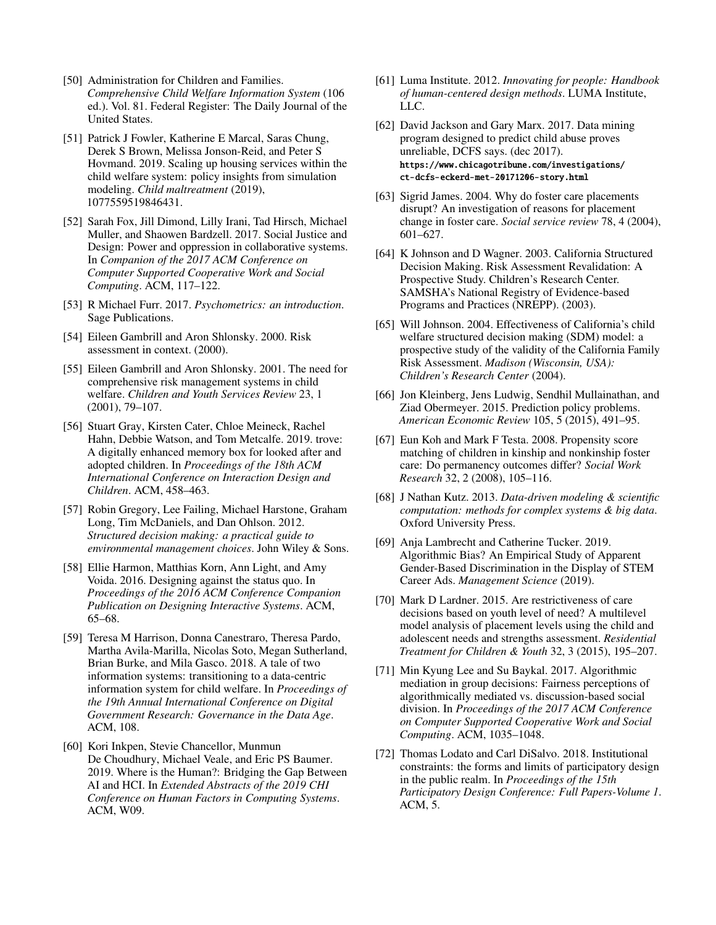- <span id="page-12-19"></span>[50] Administration for Children and Families. *Comprehensive Child Welfare Information System* (106 ed.). Vol. 81. Federal Register: The Daily Journal of the United States.
- <span id="page-12-1"></span>[51] Patrick J Fowler, Katherine E Marcal, Saras Chung, Derek S Brown, Melissa Jonson-Reid, and Peter S Hovmand. 2019. Scaling up housing services within the child welfare system: policy insights from simulation modeling. *Child maltreatment* (2019), 1077559519846431.
- <span id="page-12-21"></span>[52] Sarah Fox, Jill Dimond, Lilly Irani, Tad Hirsch, Michael Muller, and Shaowen Bardzell. 2017. Social Justice and Design: Power and oppression in collaborative systems. In *Companion of the 2017 ACM Conference on Computer Supported Cooperative Work and Social Computing*. ACM, 117–122.
- <span id="page-12-10"></span>[53] R Michael Furr. 2017. *Psychometrics: an introduction*. Sage Publications.
- <span id="page-12-16"></span>[54] Eileen Gambrill and Aron Shlonsky. 2000. Risk assessment in context. (2000).
- <span id="page-12-2"></span>[55] Eileen Gambrill and Aron Shlonsky. 2001. The need for comprehensive risk management systems in child welfare. *Children and Youth Services Review* 23, 1 (2001), 79–107.
- <span id="page-12-5"></span>[56] Stuart Gray, Kirsten Cater, Chloe Meineck, Rachel Hahn, Debbie Watson, and Tom Metcalfe. 2019. trove: A digitally enhanced memory box for looked after and adopted children. In *Proceedings of the 18th ACM International Conference on Interaction Design and Children*. ACM, 458–463.
- <span id="page-12-12"></span>[57] Robin Gregory, Lee Failing, Michael Harstone, Graham Long, Tim McDaniels, and Dan Ohlson. 2012. *Structured decision making: a practical guide to environmental management choices*. John Wiley & Sons.
- <span id="page-12-20"></span>[58] Ellie Harmon, Matthias Korn, Ann Light, and Amy Voida. 2016. Designing against the status quo. In *Proceedings of the 2016 ACM Conference Companion Publication on Designing Interactive Systems*. ACM, 65–68.
- <span id="page-12-11"></span>[59] Teresa M Harrison, Donna Canestraro, Theresa Pardo, Martha Avila-Marilla, Nicolas Soto, Megan Sutherland, Brian Burke, and Mila Gasco. 2018. A tale of two information systems: transitioning to a data-centric information system for child welfare. In *Proceedings of the 19th Annual International Conference on Digital Government Research: Governance in the Data Age*. ACM, 108.
- <span id="page-12-3"></span>[60] Kori Inkpen, Stevie Chancellor, Munmun De Choudhury, Michael Veale, and Eric PS Baumer. 2019. Where is the Human?: Bridging the Gap Between AI and HCI. In *Extended Abstracts of the 2019 CHI Conference on Human Factors in Computing Systems*. ACM, W09.
- <span id="page-12-4"></span>[61] Luma Institute. 2012. *Innovating for people: Handbook of human-centered design methods*. LUMA Institute, LLC.
- <span id="page-12-17"></span>[62] David Jackson and Gary Marx. 2017. Data mining program designed to predict child abuse proves unreliable, DCFS says. (dec 2017). [https://www.chicagotribune.com/investigations/](https://www.chicagotribune.com/investigations/ct-dcfs-eckerd-met-20171206-story.html) [ct-dcfs-eckerd-met-20171206-story.html](https://www.chicagotribune.com/investigations/ct-dcfs-eckerd-met-20171206-story.html)
- <span id="page-12-14"></span>[63] Sigrid James. 2004. Why do foster care placements disrupt? An investigation of reasons for placement change in foster care. *Social service review* 78, 4 (2004), 601–627.
- <span id="page-12-13"></span>[64] K Johnson and D Wagner. 2003. California Structured Decision Making. Risk Assessment Revalidation: A Prospective Study. Children's Research Center. SAMSHA's National Registry of Evidence-based Programs and Practices (NREPP). (2003).
- <span id="page-12-8"></span>[65] Will Johnson. 2004. Effectiveness of California's child welfare structured decision making (SDM) model: a prospective study of the validity of the California Family Risk Assessment. *Madison (Wisconsin, USA): Children's Research Center* (2004).
- <span id="page-12-6"></span>[66] Jon Kleinberg, Jens Ludwig, Sendhil Mullainathan, and Ziad Obermeyer. 2015. Prediction policy problems. *American Economic Review* 105, 5 (2015), 491–95.
- <span id="page-12-15"></span>[67] Eun Koh and Mark F Testa. 2008. Propensity score matching of children in kinship and nonkinship foster care: Do permanency outcomes differ? *Social Work Research* 32, 2 (2008), 105–116.
- <span id="page-12-7"></span>[68] J Nathan Kutz. 2013. *Data-driven modeling & scientific computation: methods for complex systems & big data*. Oxford University Press.
- <span id="page-12-0"></span>[69] Anja Lambrecht and Catherine Tucker. 2019. Algorithmic Bias? An Empirical Study of Apparent Gender-Based Discrimination in the Display of STEM Career Ads. *Management Science* (2019).
- <span id="page-12-9"></span>[70] Mark D Lardner. 2015. Are restrictiveness of care decisions based on youth level of need? A multilevel model analysis of placement levels using the child and adolescent needs and strengths assessment. *Residential Treatment for Children & Youth* 32, 3 (2015), 195–207.
- <span id="page-12-22"></span>[71] Min Kyung Lee and Su Baykal. 2017. Algorithmic mediation in group decisions: Fairness perceptions of algorithmically mediated vs. discussion-based social division. In *Proceedings of the 2017 ACM Conference on Computer Supported Cooperative Work and Social Computing*. ACM, 1035–1048.
- <span id="page-12-18"></span>[72] Thomas Lodato and Carl DiSalvo. 2018. Institutional constraints: the forms and limits of participatory design in the public realm. In *Proceedings of the 15th Participatory Design Conference: Full Papers-Volume 1*. ACM, 5.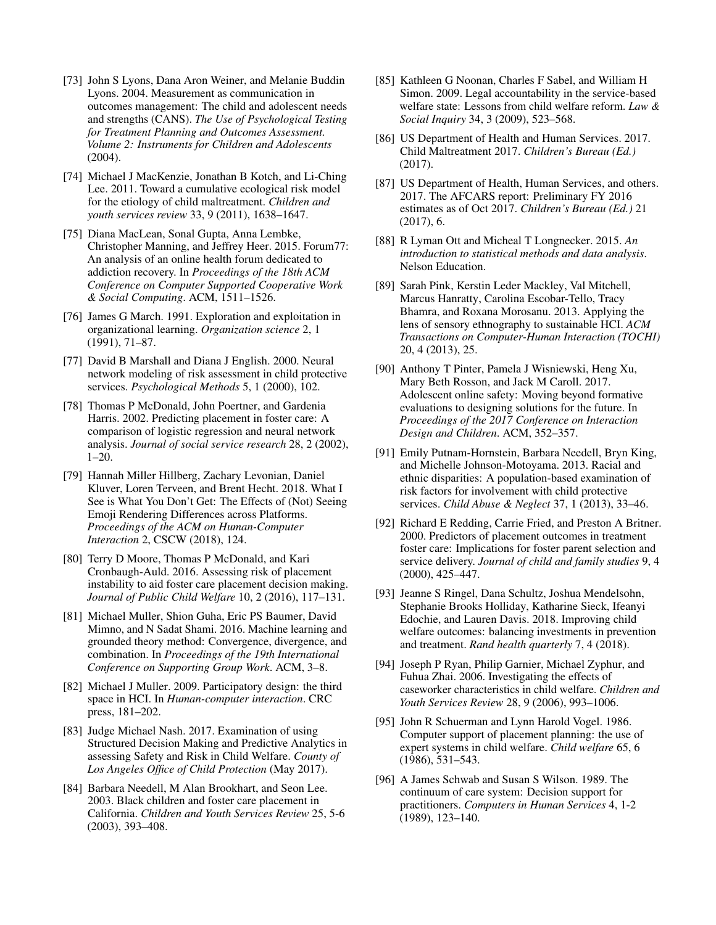- <span id="page-13-10"></span>[73] John S Lyons, Dana Aron Weiner, and Melanie Buddin Lyons. 2004. Measurement as communication in outcomes management: The child and adolescent needs and strengths (CANS). *The Use of Psychological Testing for Treatment Planning and Outcomes Assessment. Volume 2: Instruments for Children and Adolescents* (2004).
- <span id="page-13-17"></span>[74] Michael J MacKenzie, Jonathan B Kotch, and Li-Ching Lee. 2011. Toward a cumulative ecological risk model for the etiology of child maltreatment. *Children and youth services review* 33, 9 (2011), 1638–1647.
- <span id="page-13-5"></span>[75] Diana MacLean, Sonal Gupta, Anna Lembke, Christopher Manning, and Jeffrey Heer. 2015. Forum77: An analysis of an online health forum dedicated to addiction recovery. In *Proceedings of the 18th ACM Conference on Computer Supported Cooperative Work & Social Computing*. ACM, 1511–1526.
- <span id="page-13-19"></span>[76] James G March. 1991. Exploration and exploitation in organizational learning. *Organization science* 2, 1 (1991), 71–87.
- <span id="page-13-9"></span>[77] David B Marshall and Diana J English. 2000. Neural network modeling of risk assessment in child protective services. *Psychological Methods* 5, 1 (2000), 102.
- <span id="page-13-8"></span>[78] Thomas P McDonald, John Poertner, and Gardenia Harris. 2002. Predicting placement in foster care: A comparison of logistic regression and neural network analysis. *Journal of social service research* 28, 2 (2002), 1–20.
- <span id="page-13-23"></span>[79] Hannah Miller Hillberg, Zachary Levonian, Daniel Kluver, Loren Terveen, and Brent Hecht. 2018. What I See is What You Don't Get: The Effects of (Not) Seeing Emoji Rendering Differences across Platforms. *Proceedings of the ACM on Human-Computer Interaction* 2, CSCW (2018), 124.
- <span id="page-13-2"></span>[80] Terry D Moore, Thomas P McDonald, and Kari Cronbaugh-Auld. 2016. Assessing risk of placement instability to aid foster care placement decision making. *Journal of Public Child Welfare* 10, 2 (2016), 117–131.
- <span id="page-13-20"></span>[81] Michael Muller, Shion Guha, Eric PS Baumer, David Mimno, and N Sadat Shami. 2016. Machine learning and grounded theory method: Convergence, divergence, and combination. In *Proceedings of the 19th International Conference on Supporting Group Work*. ACM, 3–8.
- <span id="page-13-21"></span>[82] Michael J Muller. 2009. Participatory design: the third space in HCI. In *Human-computer interaction*. CRC press, 181–202.
- <span id="page-13-18"></span>[83] Judge Michael Nash. 2017. Examination of using Structured Decision Making and Predictive Analytics in assessing Safety and Risk in Child Welfare. *County of Los Angeles Office of Child Protection* (May 2017).
- <span id="page-13-13"></span>[84] Barbara Needell, M Alan Brookhart, and Seon Lee. 2003. Black children and foster care placement in California. *Children and Youth Services Review* 25, 5-6 (2003), 393–408.
- <span id="page-13-1"></span>[85] Kathleen G Noonan, Charles F Sabel, and William H Simon. 2009. Legal accountability in the service-based welfare state: Lessons from child welfare reform. *Law & Social Inquiry* 34, 3 (2009), 523–568.
- <span id="page-13-6"></span>[86] US Department of Health and Human Services. 2017. Child Maltreatment 2017. *Children's Bureau (Ed.)* (2017).
- <span id="page-13-0"></span>[87] US Department of Health, Human Services, and others. 2017. The AFCARS report: Preliminary FY 2016 estimates as of Oct 2017. *Children's Bureau (Ed.)* 21 (2017), 6.
- <span id="page-13-11"></span>[88] R Lyman Ott and Micheal T Longnecker. 2015. *An introduction to statistical methods and data analysis*. Nelson Education.
- <span id="page-13-4"></span>[89] Sarah Pink, Kerstin Leder Mackley, Val Mitchell, Marcus Hanratty, Carolina Escobar-Tello, Tracy Bhamra, and Roxana Morosanu. 2013. Applying the lens of sensory ethnography to sustainable HCI. *ACM Transactions on Computer-Human Interaction (TOCHI)* 20, 4 (2013), 25.
- <span id="page-13-22"></span>[90] Anthony T Pinter, Pamela J Wisniewski, Heng Xu, Mary Beth Rosson, and Jack M Caroll. 2017. Adolescent online safety: Moving beyond formative evaluations to designing solutions for the future. In *Proceedings of the 2017 Conference on Interaction Design and Children*. ACM, 352–357.
- <span id="page-13-14"></span>[91] Emily Putnam-Hornstein, Barbara Needell, Bryn King, and Michelle Johnson-Motoyama. 2013. Racial and ethnic disparities: A population-based examination of risk factors for involvement with child protective services. *Child Abuse & Neglect* 37, 1 (2013), 33–46.
- <span id="page-13-16"></span>[92] Richard E Redding, Carrie Fried, and Preston A Britner. 2000. Predictors of placement outcomes in treatment foster care: Implications for foster parent selection and service delivery. *Journal of child and family studies* 9, 4 (2000), 425–447.
- <span id="page-13-3"></span>[93] Jeanne S Ringel, Dana Schultz, Joshua Mendelsohn, Stephanie Brooks Holliday, Katharine Sieck, Ifeanyi Edochie, and Lauren Davis. 2018. Improving child welfare outcomes: balancing investments in prevention and treatment. *Rand health quarterly* 7, 4 (2018).
- <span id="page-13-15"></span>[94] Joseph P Ryan, Philip Garnier, Michael Zyphur, and Fuhua Zhai. 2006. Investigating the effects of caseworker characteristics in child welfare. *Children and Youth Services Review* 28, 9 (2006), 993–1006.
- <span id="page-13-12"></span>[95] John R Schuerman and Lynn Harold Vogel. 1986. Computer support of placement planning: the use of expert systems in child welfare. *Child welfare* 65, 6 (1986), 531–543.
- <span id="page-13-7"></span>[96] A James Schwab and Susan S Wilson. 1989. The continuum of care system: Decision support for practitioners. *Computers in Human Services* 4, 1-2 (1989), 123–140.